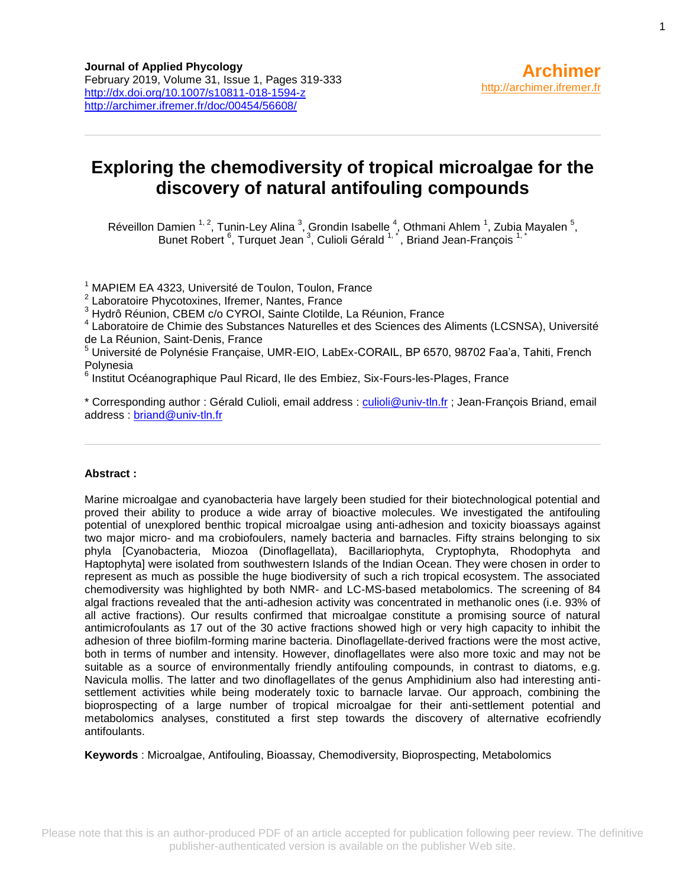# **Exploring the chemodiversity of tropical microalgae for the discovery of natural antifouling compounds**

Réveillon Damien <sup>1, 2</sup>, Tunin-Ley Alina <sup>3</sup>, Grondin Isabelle <sup>4</sup>, Othmani Ahlem <sup>1</sup>, Zubia Mayalen <sup>5</sup>, Bunet Robert <sup>6</sup>, Turquet Jean<sup>3</sup>, Culioli Gérald <sup>1,\*</sup>, Briand Jean-François <sup>1,\*</sup>

<sup>1</sup> MAPIEM EA 4323, Université de Toulon, Toulon, France

<sup>2</sup> Laboratoire Phycotoxines, Ifremer, Nantes, France

<sup>3</sup> Hydrô Réunion, CBEM c/o CYROI, Sainte Clotilde, La Réunion, France

4 Laboratoire de Chimie des Substances Naturelles et des Sciences des Aliments (LCSNSA), Université de La Réunion, Saint-Denis, France

<sup>5</sup> Université de Polynésie Française, UMR-EIO, LabEx-CORAIL, BP 6570, 98702 Faa'a, Tahiti, French Polynesia

<sup>6</sup> Institut Océanographique Paul Ricard, Ile des Embiez, Six-Fours-les-Plages, France

\* Corresponding author : Gérald Culioli, email address : [culioli@univ-tln.fr](mailto:culioli@univ-tln.fr) ; Jean-François Briand, email address : [briand@univ-tln.fr](mailto:briand@univ-tln.fr)

#### **Abstract :**

Marine microalgae and cyanobacteria have largely been studied for their biotechnological potential and proved their ability to produce a wide array of bioactive molecules. We investigated the antifouling potential of unexplored benthic tropical microalgae using anti-adhesion and toxicity bioassays against two major micro- and ma crobiofoulers, namely bacteria and barnacles. Fifty strains belonging to six phyla [Cyanobacteria, Miozoa (Dinoflagellata), Bacillariophyta, Cryptophyta, Rhodophyta and Haptophyta] were isolated from southwestern Islands of the Indian Ocean. They were chosen in order to represent as much as possible the huge biodiversity of such a rich tropical ecosystem. The associated chemodiversity was highlighted by both NMR- and LC-MS-based metabolomics. The screening of 84 algal fractions revealed that the anti-adhesion activity was concentrated in methanolic ones (i.e. 93% of all active fractions). Our results confirmed that microalgae constitute a promising source of natural antimicrofoulants as 17 out of the 30 active fractions showed high or very high capacity to inhibit the adhesion of three biofilm-forming marine bacteria. Dinoflagellate-derived fractions were the most active, both in terms of number and intensity. However, dinoflagellates were also more toxic and may not be suitable as a source of environmentally friendly antifouling compounds, in contrast to diatoms, e.g. Navicula mollis. The latter and two dinoflagellates of the genus Amphidinium also had interesting antisettlement activities while being moderately toxic to barnacle larvae. Our approach, combining the bioprospecting of a large number of tropical microalgae for their anti-settlement potential and metabolomics analyses, constituted a first step towards the discovery of alternative ecofriendly antifoulants.

**Keywords** : Microalgae, Antifouling, Bioassay, Chemodiversity, Bioprospecting, Metabolomics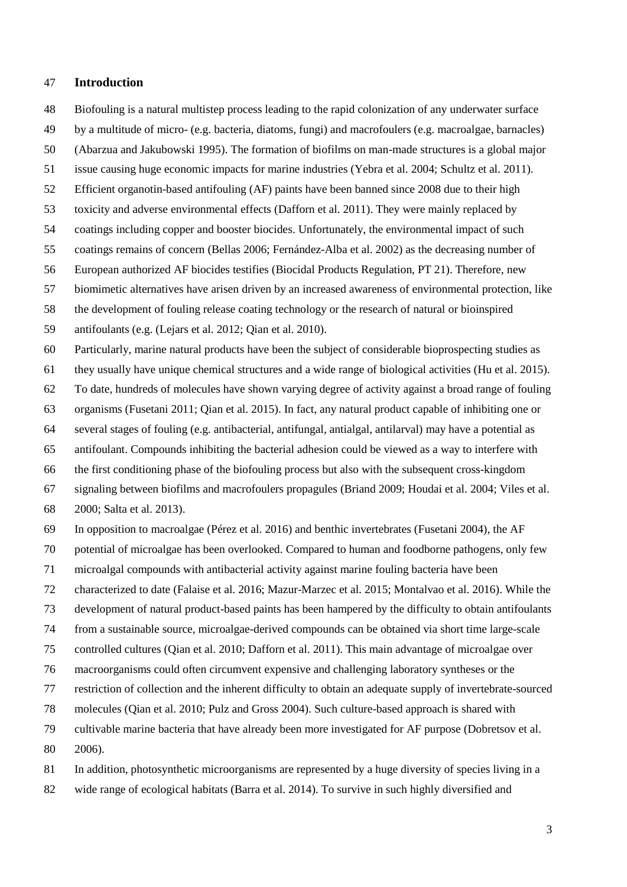## **Introduction**

- Biofouling is a natural multistep process leading to the rapid colonization of any underwater surface
- by a multitude of micro- (e.g. bacteria, diatoms, fungi) and macrofoulers (e.g. macroalgae, barnacles)
- [\(Abarzua and Jakubowski 1995\)](#page-15-0). The formation of biofilms on man-made structures is a global major
- issue causing huge economic impacts for marine industries [\(Yebra et al. 2004;](#page-23-0) [Schultz et al. 2011\)](#page-22-0).
- Efficient organotin-based antifouling (AF) paints have been banned since 2008 due to their high
- toxicity and adverse environmental effects [\(Dafforn et al. 2011\)](#page-17-0). They were mainly replaced by
- coatings including copper and booster biocides. Unfortunately, the environmental impact of such
- coatings remains of concern [\(Bellas 2006;](#page-16-0) [Fernández-Alba et al. 2002\)](#page-18-0) as the decreasing number of
- European authorized AF biocides testifies (Biocidal Products Regulation, PT 21). Therefore, new
- biomimetic alternatives have arisen driven by an increased awareness of environmental protection, like
- the development of fouling release coating technology or the research of natural or bioinspired
- antifoulants (e.g. [\(Lejars et al. 2012;](#page-20-0) [Qian et al. 2010\)](#page-21-0).
- Particularly, marine natural products have been the subject of considerable bioprospecting studies as
- they usually have unique chemical structures and a wide range of biological activities [\(Hu et al. 2015\)](#page-19-0).
- To date, hundreds of molecules have shown varying degree of activity against a broad range of fouling
- organisms [\(Fusetani 2011;](#page-18-1) [Qian et al. 2015\)](#page-21-1). In fact, any natural product capable of inhibiting one or
- several stages of fouling (e.g. antibacterial, antifungal, antialgal, antilarval) may have a potential as
- antifoulant. Compounds inhibiting the bacterial adhesion could be viewed as a way to interfere with
- the first conditioning phase of the biofouling process but also with the subsequent cross-kingdom
- signaling between biofilms and macrofoulers propagules [\(Briand 2009;](#page-16-1) [Houdai et al. 2004;](#page-19-1) [Viles et al.](#page-23-1)
- [2000;](#page-23-1) [Salta et al. 2013\)](#page-22-1).
- In opposition to macroalgae [\(Pérez et al. 2016\)](#page-21-2) and benthic invertebrates [\(Fusetani](#page-18-2) 2004), the AF
- potential of microalgae has been overlooked. Compared to human and foodborne pathogens, only few
- microalgal compounds with antibacterial activity against marine fouling bacteria have been
- characterized to date [\(Falaise et al. 2016;](#page-17-1) [Mazur-Marzec et al. 2015;](#page-20-1) [Montalvao et al. 2016\)](#page-20-2). While the
- development of natural product-based paints has been hampered by the difficulty to obtain antifoulants
- from a sustainable source, microalgae-derived compounds can be obtained via short time large-scale
- controlled cultures [\(Qian et al. 2010;](#page-21-0) [Dafforn et al. 2011\)](#page-17-0). This main advantage of microalgae over
- macroorganisms could often circumvent expensive and challenging laboratory syntheses or the
- restriction of collection and the inherent difficulty to obtain an adequate supply of invertebrate-sourced
- molecules [\(Qian et al. 2010;](#page-21-0) [Pulz and Gross 2004\)](#page-21-3). Such culture-based approach is shared with
- cultivable marine bacteria that have already been more investigated for AF purpose [\(Dobretsov et al.](#page-17-2)
- [2006\)](#page-17-2).
- In addition, photosynthetic microorganisms are represented by a huge diversity of species living in a
- wide range of ecological habitats [\(Barra et al. 2014\)](#page-16-2). To survive in such highly diversified and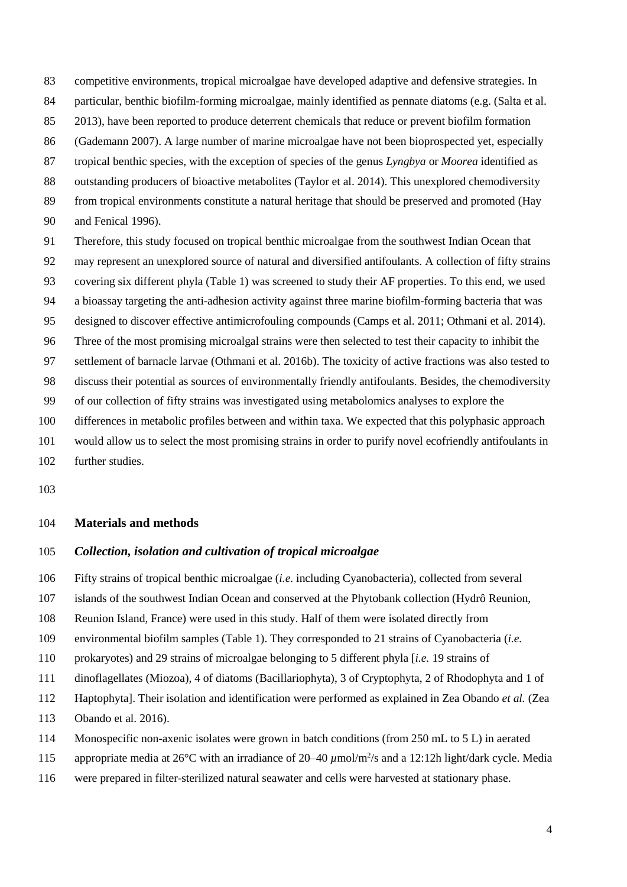- competitive environments, tropical microalgae have developed adaptive and defensive strategies. In
- particular, benthic biofilm-forming microalgae, mainly identified as pennate diatoms (e.g. [\(Salta et al.](#page-22-1)
- [2013\)](#page-22-1), have been reported to produce deterrent chemicals that reduce or prevent biofilm formation
- [\(Gademann 2007\)](#page-18-3). A large number of marine microalgae have not been bioprospected yet, especially
- tropical benthic species, with the exception of species of the genus *Lyngbya* or *Moorea* identified as
- outstanding producers of bioactive metabolites [\(Taylor et al. 2014\)](#page-22-2). This unexplored chemodiversity
- from tropical environments constitute a natural heritage that should be preserved and promoted [\(Hay](#page-19-2)
- [and Fenical 1996\)](#page-19-2).
- Therefore, this study focused on tropical benthic microalgae from the southwest Indian Ocean that
- may represent an unexplored source of natural and diversified antifoulants. A collection of fifty strains
- covering six different phyla (Table 1) was screened to study their AF properties. To this end, we used
- a bioassay targeting the anti-adhesion activity against three marine biofilm-forming bacteria that was
- designed to discover effective antimicrofouling compounds [\(Camps et al. 2011;](#page-17-3) [Othmani et al. 2014\)](#page-21-4).
- Three of the most promising microalgal strains were then selected to test their capacity to inhibit the
- settlement of barnacle larvae [\(Othmani et al. 2016b\)](#page-21-5). The toxicity of active fractions was also tested to
- discuss their potential as sources of environmentally friendly antifoulants. Besides, the chemodiversity
- of our collection of fifty strains was investigated using metabolomics analyses to explore the
- differences in metabolic profiles between and within taxa. We expected that this polyphasic approach
- would allow us to select the most promising strains in order to purify novel ecofriendly antifoulants in
- further studies.
- 

## **Materials and methods**

# *Collection, isolation and cultivation of tropical microalgae*

- Fifty strains of tropical benthic microalgae (*i.e.* including Cyanobacteria), collected from several
- islands of the southwest Indian Ocean and conserved at the Phytobank collection (Hydrô Reunion,
- Reunion Island, France) were used in this study. Half of them were isolated directly from
- environmental biofilm samples (Table 1). They corresponded to 21 strains of Cyanobacteria (*i.e.*
- prokaryotes) and 29 strains of microalgae belonging to 5 different phyla [*i.e.* 19 strains of
- dinoflagellates (Miozoa), 4 of diatoms (Bacillariophyta), 3 of Cryptophyta, 2 of Rhodophyta and 1 of
- Haptophyta]. Their isolation and identification were performed as explained in Zea Obando *et al.* [\(Zea](#page-23-2)
- [Obando et al. 2016\)](#page-23-2).
- Monospecific non-axenic isolates were grown in batch conditions (from 250 mL to 5 L) in aerated
- 115 appropriate media at  $26^{\circ}$ C with an irradiance of  $20-40 \mu$ mol/m<sup>2</sup>/s and a 12:12h light/dark cycle. Media
- were prepared in filter-sterilized natural seawater and cells were harvested at stationary phase.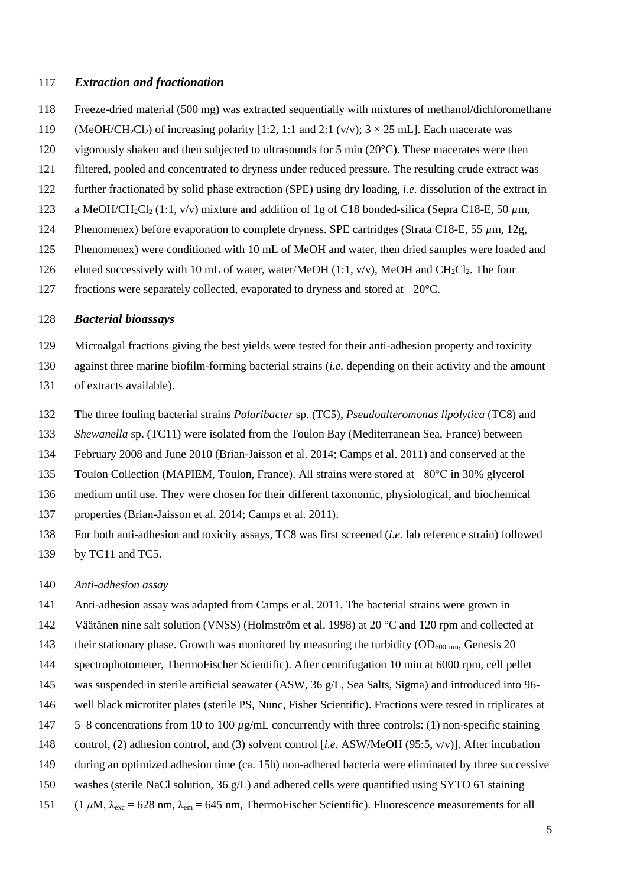## *Extraction and fractionation*

- Freeze-dried material (500 mg) was extracted sequentially with mixtures of methanol/dichloromethane
- 119 (MeOH/CH<sub>2</sub>Cl<sub>2</sub>) of increasing polarity [1:2, 1:1 and 2:1 (v/v);  $3 \times 25$  mL]. Each macerate was
- 120 vigorously shaken and then subjected to ultrasounds for 5 min (20°C). These macerates were then
- filtered, pooled and concentrated to dryness under reduced pressure. The resulting crude extract was
- further fractionated by solid phase extraction (SPE) using dry loading, *i.e.* dissolution of the extract in
- a MeOH/CH2Cl<sup>2</sup> (1:1, v/v) mixture and addition of 1g of C18 bonded-silica (Sepra C18-E, 50 *µ*m,
- 124 Phenomenex) before evaporation to complete dryness. SPE cartridges (Strata C18-E, 55  $\mu$ m, 12g,
- Phenomenex) were conditioned with 10 mL of MeOH and water, then dried samples were loaded and
- 126 eluted successively with 10 mL of water, water/MeOH  $(1:1, v/v)$ , MeOH and CH<sub>2</sub>Cl<sub>2</sub>. The four
- fractions were separately collected, evaporated to dryness and stored at −20°C.

#### *Bacterial bioassays*

- Microalgal fractions giving the best yields were tested for their anti-adhesion property and toxicity
- against three marine biofilm-forming bacterial strains (*i.e.* depending on their activity and the amount
- of extracts available).
- The three fouling bacterial strains *Polaribacter* sp. (TC5), *Pseudoalteromonas lipolytica* (TC8) and
- *Shewanella* sp. (TC11) were isolated from the Toulon Bay (Mediterranean Sea, France) between
- February 2008 and June 2010 [\(Brian-Jaisson et al. 2014;](#page-16-3) [Camps et al. 2011\)](#page-17-3) and conserved at the
- Toulon Collection (MAPIEM, Toulon, France). All strains were stored at −80°C in 30% glycerol
- medium until use. They were chosen for their different taxonomic, physiological, and biochemical
- properties [\(Brian-Jaisson et al. 2014;](#page-16-3) [Camps et al. 2011\)](#page-17-3).
- For both anti-adhesion and toxicity assays, TC8 was first screened (*i.e.* lab reference strain) followed
- by TC11 and TC5.

## *Anti-adhesion assay*

- Anti-adhesion assay was adapted from Camps et al. 2011. The bacterial strains were grown in
- Väätänen nine salt solution (VNSS) [\(Holmström et al. 1998\)](#page-19-3) at 20 °C and 120 rpm and collected at
- 143 their stationary phase. Growth was monitored by measuring the turbidity  $(OD_{600 \text{ nm}}, \text{Genesis } 20$
- spectrophotometer, ThermoFischer Scientific). After centrifugation 10 min at 6000 rpm, cell pellet
- was suspended in sterile artificial seawater (ASW, 36 g/L, Sea Salts, Sigma) and introduced into 96-
- well black microtiter plates (sterile PS, Nunc, Fisher Scientific). Fractions were tested in triplicates at
- 5–8 concentrations from 10 to 100 *µ*g/mL concurrently with three controls: (1) non-specific staining
- control, (2) adhesion control, and (3) solvent control [*i.e.* ASW/MeOH (95:5, v/v)]. After incubation
- during an optimized adhesion time (ca. 15h) non-adhered bacteria were eliminated by three successive
- washes (sterile NaCl solution, 36 g/L) and adhered cells were quantified using SYTO 61 staining
- 151 (1  $\mu$ M,  $\lambda_{\text{exc}}$  = 628 nm,  $\lambda_{\text{em}}$  = 645 nm, ThermoFischer Scientific). Fluorescence measurements for all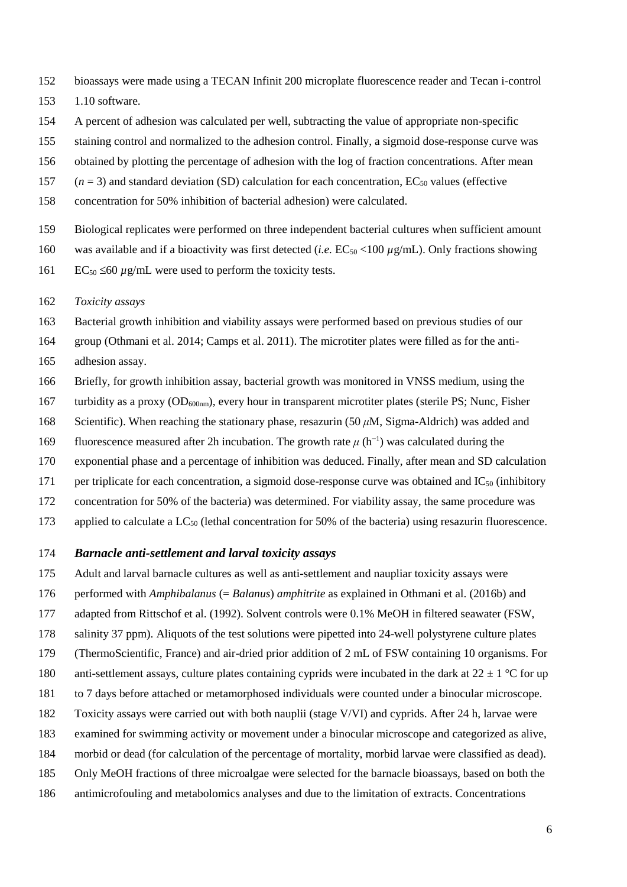- bioassays were made using a TECAN Infinit 200 microplate fluorescence reader and Tecan i-control
- 1.10 software.
- A percent of adhesion was calculated per well, subtracting the value of appropriate non-specific
- staining control and normalized to the adhesion control. Finally, a sigmoid dose-response curve was
- obtained by plotting the percentage of adhesion with the log of fraction concentrations. After mean
- 157  $(n = 3)$  and standard deviation (SD) calculation for each concentration,  $EC_{50}$  values (effective
- concentration for 50% inhibition of bacterial adhesion) were calculated.
- Biological replicates were performed on three independent bacterial cultures when sufficient amount
- 160 was available and if a bioactivity was first detected (*i.e.*  $EC_{50}$  <100  $\mu$ g/mL). Only fractions showing
- 161 EC<sub>50</sub>  $\leq$ 60  $\mu$ g/mL were used to perform the toxicity tests.
- *Toxicity assays*

Bacterial growth inhibition and viability assays were performed based on previous studies of our

group [\(Othmani et al. 2014;](#page-21-4) [Camps et al. 2011\)](#page-17-3). The microtiter plates were filled as for the anti-

- adhesion assay.
- Briefly, for growth inhibition assay, bacterial growth was monitored in VNSS medium, using the
- 167 turbidity as a proxy  $OD_{600nm}$ , every hour in transparent microtiter plates (sterile PS; Nunc, Fisher
- Scientific). When reaching the stationary phase, resazurin (50 *μ*M, Sigma-Aldrich) was added and
- fluorescence measured after 2h incubation. The growth rate  $\mu$  (h<sup>-1</sup>) was calculated during the
- exponential phase and a percentage of inhibition was deduced. Finally, after mean and SD calculation
- 171 per triplicate for each concentration, a sigmoid dose-response curve was obtained and  $IC_{50}$  (inhibitory
- concentration for 50% of the bacteria) was determined. For viability assay, the same procedure was
- 173 applied to calculate a LC<sub>50</sub> (lethal concentration for 50% of the bacteria) using resazurin fluorescence.

#### *Barnacle anti-settlement and larval toxicity assays*

- Adult and larval barnacle cultures as well as anti-settlement and naupliar toxicity assays were
- performed with *Amphibalanus* (= *Balanus*) *amphitrite* as explained in Othmani et al. [\(2016b\)](#page-21-5) and
- adapted from Rittschof et al. [\(1992\)](#page-22-3). Solvent controls were 0.1% MeOH in filtered seawater (FSW,
- salinity 37 ppm). Aliquots of the test solutions were pipetted into 24-well polystyrene culture plates
- (ThermoScientific, France) and air-dried prior addition of 2 mL of FSW containing 10 organisms. For
- 180 anti-settlement assays, culture plates containing cyprids were incubated in the dark at  $22 \pm 1$  °C for up
- to 7 days before attached or metamorphosed individuals were counted under a binocular microscope.
- Toxicity assays were carried out with both nauplii (stage V/VI) and cyprids. After 24 h, larvae were
- examined for swimming activity or movement under a binocular microscope and categorized as alive,
- morbid or dead (for calculation of the percentage of mortality, morbid larvae were classified as dead).
- Only MeOH fractions of three microalgae were selected for the barnacle bioassays, based on both the
- antimicrofouling and metabolomics analyses and due to the limitation of extracts. Concentrations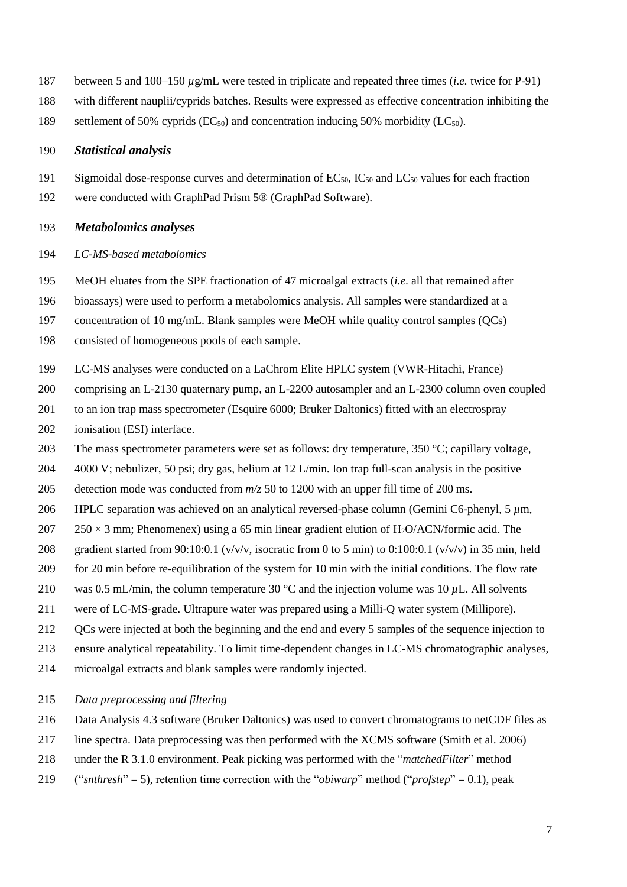- between 5 and 100–150 *µ*g/mL were tested in triplicate and repeated three times (*i.e.* twice for P-91)
- with different nauplii/cyprids batches. Results were expressed as effective concentration inhibiting the
- 189 settlement of 50% cyprids  $(EC_{50})$  and concentration inducing 50% morbidity  $(LC_{50})$ .

#### *Statistical analysis*

- 191 Sigmoidal dose-response curves and determination of  $EC_{50}$ ,  $IC_{50}$  and  $LC_{50}$  values for each fraction
- were conducted with GraphPad Prism 5® (GraphPad Software).

## *Metabolomics analyses*

## *LC-MS-based metabolomics*

MeOH eluates from the SPE fractionation of 47 microalgal extracts (*i.e.* all that remained after

bioassays) were used to perform a metabolomics analysis. All samples were standardized at a

concentration of 10 mg/mL. Blank samples were MeOH while quality control samples (QCs)

- consisted of homogeneous pools of each sample.
- LC-MS analyses were conducted on a LaChrom Elite HPLC system (VWR-Hitachi, France)
- comprising an L-2130 quaternary pump, an L-2200 autosampler and an L-2300 column oven coupled
- to an ion trap mass spectrometer (Esquire 6000; Bruker Daltonics) fitted with an electrospray
- ionisation (ESI) interface.
- 203 The mass spectrometer parameters were set as follows: dry temperature, 350 °C; capillary voltage,
- 4000 V; nebulizer, 50 psi; dry gas, helium at 12 L/min. Ion trap full-scan analysis in the positive
- detection mode was conducted from *m/z* 50 to 1200 with an upper fill time of 200 ms.
- HPLC separation was achieved on an analytical reversed-phase column (Gemini C6-phenyl, 5 *µ*m,
- 207 250  $\times$  3 mm; Phenomenex) using a 65 min linear gradient elution of H<sub>2</sub>O/ACN/formic acid. The
- 208 gradient started from 90:10:0.1 (v/v/v, isocratic from 0 to 5 min) to 0:100:0.1 (v/v/v) in 35 min, held
- for 20 min before re-equilibration of the system for 10 min with the initial conditions. The flow rate
- was 0.5 mL/min, the column temperature 30 °C and the injection volume was 10 *µ*L. All solvents
- were of LC-MS-grade. Ultrapure water was prepared using a Milli-Q water system (Millipore).
- QCs were injected at both the beginning and the end and every 5 samples of the sequence injection to
- ensure analytical repeatability. To limit time-dependent changes in LC-MS chromatographic analyses,
- microalgal extracts and blank samples were randomly injected.

## *Data preprocessing and filtering*

- Data Analysis 4.3 software (Bruker Daltonics) was used to convert chromatograms to netCDF files as
- line spectra. Data preprocessing was then performed with the XCMS software [\(Smith et al. 2006\)](#page-22-4)
- under the R 3.1.0 environment. Peak picking was performed with the "*matchedFilter*" method
- ("*snthresh*" = 5), retention time correction with the "*obiwarp*" method ("*profstep*" = 0.1), peak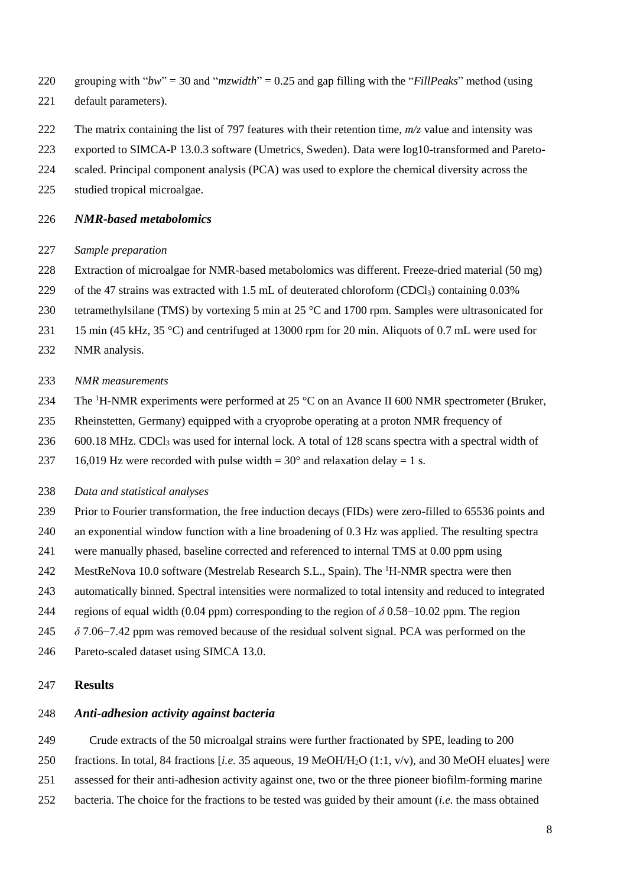- grouping with "*bw*" = 30 and "*mzwidth*" = 0.25 and gap filling with the "*FillPeaks*" method (using
- default parameters).
- The matrix containing the list of 797 features with their retention time, *m/z* value and intensity was
- exported to SIMCA-P 13.0.3 software (Umetrics, Sweden). Data were log10-transformed and Pareto-
- scaled. Principal component analysis (PCA) was used to explore the chemical diversity across the
- studied tropical microalgae.

## *NMR-based metabolomics*

## *Sample preparation*

- Extraction of microalgae for NMR-based metabolomics was different. Freeze-dried material (50 mg)
- 229 of the 47 strains was extracted with 1.5 mL of deuterated chloroform (CDCl<sub>3</sub>) containing 0.03%
- tetramethylsilane (TMS) by vortexing 5 min at 25 °C and 1700 rpm. Samples were ultrasonicated for
- 231 15 min (45 kHz, 35 °C) and centrifuged at 13000 rpm for 20 min. Aliquots of 0.7 mL were used for
- NMR analysis.

#### *NMR measurements*

- 234 The <sup>1</sup>H-NMR experiments were performed at 25  $^{\circ}$ C on an Avance II 600 NMR spectrometer (Bruker,
- Rheinstetten, Germany) equipped with a cryoprobe operating at a proton NMR frequency of
- 236 600.18 MHz. CDCl<sub>3</sub> was used for internal lock. A total of 128 scans spectra with a spectral width of
- 237 16,019 Hz were recorded with pulse width =  $30^{\circ}$  and relaxation delay = 1 s.

## *Data and statistical analyses*

- Prior to Fourier transformation, the free induction decays (FIDs) were zero-filled to 65536 points and
- an exponential window function with a line broadening of 0.3 Hz was applied. The resulting spectra
- were manually phased, baseline corrected and referenced to internal TMS at 0.00 ppm using
- 242 MestReNova 10.0 software (Mestrelab Research S.L., Spain). The <sup>1</sup>H-NMR spectra were then
- automatically binned. Spectral intensities were normalized to total intensity and reduced to integrated
- 244 regions of equal width (0.04 ppm) corresponding to the region of  $\delta$  0.58−10.02 ppm. The region
- *δ* 7.06−7.42 ppm was removed because of the residual solvent signal. PCA was performed on the
- Pareto-scaled dataset using SIMCA 13.0.

#### **Results**

# *Anti-adhesion activity against bacteria*

Crude extracts of the 50 microalgal strains were further fractionated by SPE, leading to 200

- fractions. In total, 84 fractions [*i.e.* 35 aqueous, 19 MeOH/H2O (1:1, v/v), and 30 MeOH eluates] were
- assessed for their anti-adhesion activity against one, two or the three pioneer biofilm-forming marine
- bacteria. The choice for the fractions to be tested was guided by their amount (*i.e.* the mass obtained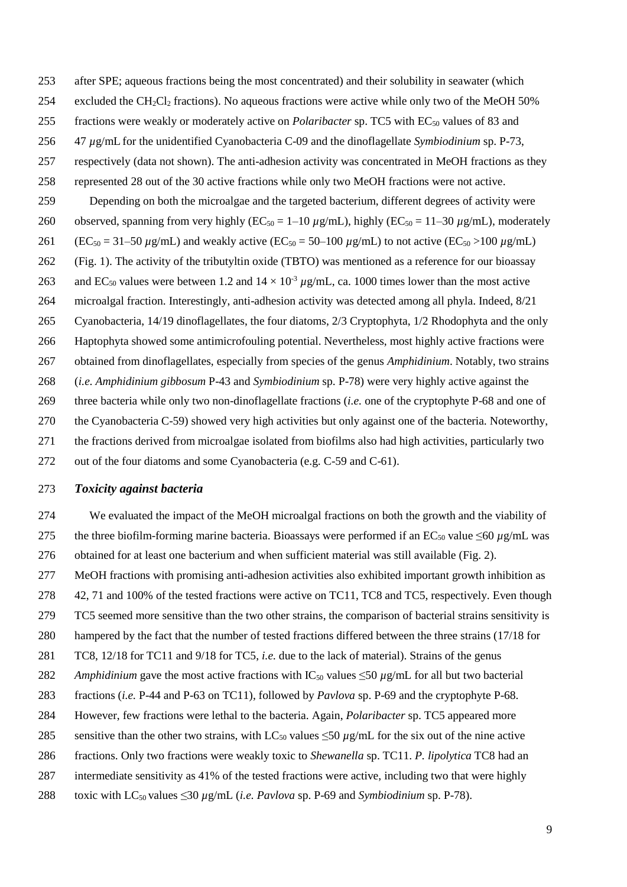- after SPE; aqueous fractions being the most concentrated) and their solubility in seawater (which
- 254 excluded the CH<sub>2</sub>Cl<sub>2</sub> fractions). No aqueous fractions were active while only two of the MeOH 50%
- 255 fractions were weakly or moderately active on *Polaribacter* sp. TC5 with EC<sub>50</sub> values of 83 and
- 47 *µ*g/mL for the unidentified Cyanobacteria C-09 and the dinoflagellate *Symbiodinium* sp. P-73,
- respectively (data not shown). The anti-adhesion activity was concentrated in MeOH fractions as they
- represented 28 out of the 30 active fractions while only two MeOH fractions were not active.
- Depending on both the microalgae and the targeted bacterium, different degrees of activity were 260 observed, spanning from very highly ( $EC_{50} = 1-10 \mu g/mL$ ), highly ( $EC_{50} = 11-30 \mu g/mL$ ), moderately 261 (EC<sub>50</sub> = 31–50  $\mu$ g/mL) and weakly active (EC<sub>50</sub> = 50–100  $\mu$ g/mL) to not active (EC<sub>50</sub> >100  $\mu$ g/mL) (Fig. 1). The activity of the tributyltin oxide (TBTO) was mentioned as a reference for our bioassay 263 and EC<sub>50</sub> values were between 1.2 and  $14 \times 10^{-3} \mu$ g/mL, ca. 1000 times lower than the most active microalgal fraction. Interestingly, anti-adhesion activity was detected among all phyla. Indeed, 8/21 Cyanobacteria, 14/19 dinoflagellates, the four diatoms, 2/3 Cryptophyta, 1/2 Rhodophyta and the only Haptophyta showed some antimicrofouling potential. Nevertheless, most highly active fractions were obtained from dinoflagellates, especially from species of the genus *Amphidinium*. Notably, two strains (*i.e. Amphidinium gibbosum* P-43 and *Symbiodinium* sp. P-78) were very highly active against the three bacteria while only two non-dinoflagellate fractions (*i.e.* one of the cryptophyte P-68 and one of the Cyanobacteria C-59) showed very high activities but only against one of the bacteria. Noteworthy, the fractions derived from microalgae isolated from biofilms also had high activities, particularly two
- out of the four diatoms and some Cyanobacteria (e.g. C-59 and C-61).

# *Toxicity against bacteria*

- We evaluated the impact of the MeOH microalgal fractions on both the growth and the viability of 275 the three biofilm-forming marine bacteria. Bioassays were performed if an EC<sub>50</sub> value  $\leq 60 \mu$ g/mL was obtained for at least one bacterium and when sufficient material was still available (Fig. 2).
- MeOH fractions with promising anti-adhesion activities also exhibited important growth inhibition as
- 42, 71 and 100% of the tested fractions were active on TC11, TC8 and TC5, respectively. Even though
- TC5 seemed more sensitive than the two other strains, the comparison of bacterial strains sensitivity is
- hampered by the fact that the number of tested fractions differed between the three strains (17/18 for
- TC8, 12/18 for TC11 and 9/18 for TC5, *i.e.* due to the lack of material). Strains of the genus
- 282 *Amphidinium* gave the most active fractions with  $IC_{50}$  values  $\leq 50 \mu$ g/mL for all but two bacterial
- fractions (*i.e.* P-44 and P-63 on TC11), followed by *Pavlova* sp. P-69 and the cryptophyte P-68.
- However, few fractions were lethal to the bacteria. Again, *Polaribacter* sp. TC5 appeared more
- 285 sensitive than the other two strains, with LC<sub>50</sub> values  $\leq$ 50  $\mu$ g/mL for the six out of the nine active
- fractions. Only two fractions were weakly toxic to *Shewanella* sp. TC11. *P. lipolytica* TC8 had an
- intermediate sensitivity as 41% of the tested fractions were active, including two that were highly
- 288 toxic with  $LC_{50}$  values  $\leq$ 30  $\mu$ g/mL (*i.e. Pavlova* sp. P-69 and *Symbiodinium* sp. P-78).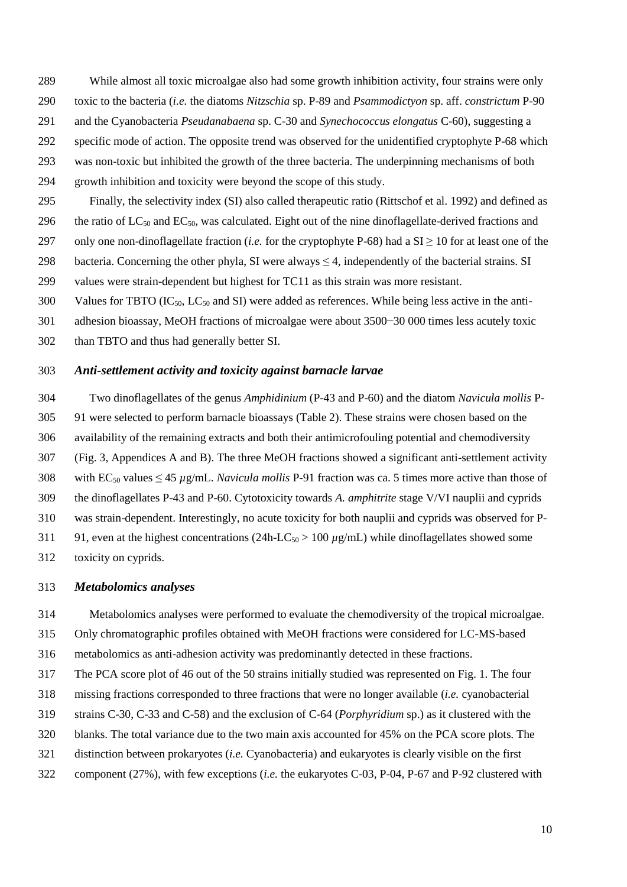While almost all toxic microalgae also had some growth inhibition activity, four strains were only

- toxic to the bacteria (*i.e.* the diatoms *Nitzschia* sp. P-89 and *Psammodictyon* sp. aff. *constrictum* P-90
- and the Cyanobacteria *Pseudanabaena* sp. C-30 and *Synechococcus elongatus* C-60), suggesting a
- specific mode of action. The opposite trend was observed for the unidentified cryptophyte P-68 which
- was non-toxic but inhibited the growth of the three bacteria. The underpinning mechanisms of both
- growth inhibition and toxicity were beyond the scope of this study.
- Finally, the selectivity index (SI) also called therapeutic ratio [\(Rittschof et al. 1992\)](#page-22-3) and defined as
- 296 the ratio of  $LC_{50}$  and  $EC_{50}$ , was calculated. Eight out of the nine dinoflagellate-derived fractions and
- 297 only one non-dinoflagellate fraction (*i.e.* for the cryptophyte P-68) had a  $SI \ge 10$  for at least one of the
- 298 bacteria. Concerning the other phyla, SI were always  $\leq$  4, independently of the bacterial strains. SI
- values were strain-dependent but highest for TC11 as this strain was more resistant.
- 300 Values for TBTO  $(IC_{50}$ ,  $LC_{50}$  and SI) were added as references. While being less active in the anti-
- adhesion bioassay, MeOH fractions of microalgae were about 3500−30 000 times less acutely toxic
- than TBTO and thus had generally better SI.

#### *Anti-settlement activity and toxicity against barnacle larvae*

 Two dinoflagellates of the genus *Amphidinium* (P-43 and P-60) and the diatom *Navicula mollis* P- 91 were selected to perform barnacle bioassays (Table 2). These strains were chosen based on the availability of the remaining extracts and both their antimicrofouling potential and chemodiversity (Fig. 3, Appendices A and B). The three MeOH fractions showed a significant anti-settlement activity 308 with  $EC_{50}$  values  $\leq 45 \mu g/mL$ . *Navicula mollis* P-91 fraction was ca. 5 times more active than those of the dinoflagellates P-43 and P-60. Cytotoxicity towards *A. amphitrite* stage V/VI nauplii and cyprids was strain-dependent. Interestingly, no acute toxicity for both nauplii and cyprids was observed for P-311 91, even at the highest concentrations (24h-LC<sub>50</sub>  $> 100 \mu g/mL$ ) while dinoflagellates showed some toxicity on cyprids.

# *Metabolomics analyses*

Metabolomics analyses were performed to evaluate the chemodiversity of the tropical microalgae.

Only chromatographic profiles obtained with MeOH fractions were considered for LC-MS-based

metabolomics as anti-adhesion activity was predominantly detected in these fractions.

The PCA score plot of 46 out of the 50 strains initially studied was represented on Fig. 1. The four

- missing fractions corresponded to three fractions that were no longer available (*i.e.* cyanobacterial
- strains C-30, C-33 and C-58) and the exclusion of C-64 (*Porphyridium* sp.) as it clustered with the
- blanks. The total variance due to the two main axis accounted for 45% on the PCA score plots. The
- distinction between prokaryotes (*i.e.* Cyanobacteria) and eukaryotes is clearly visible on the first
- component (27%), with few exceptions (*i.e.* the eukaryotes C-03, P-04, P-67 and P-92 clustered with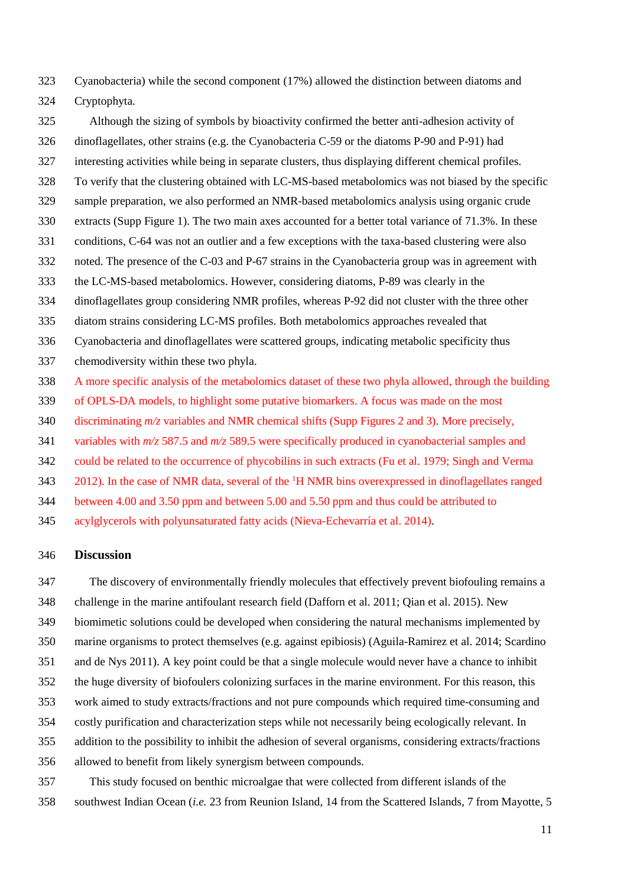Cyanobacteria) while the second component (17%) allowed the distinction between diatoms and Cryptophyta.

- Although the sizing of symbols by bioactivity confirmed the better anti-adhesion activity of dinoflagellates, other strains (e.g. the Cyanobacteria C-59 or the diatoms P-90 and P-91) had interesting activities while being in separate clusters, thus displaying different chemical profiles. To verify that the clustering obtained with LC-MS-based metabolomics was not biased by the specific sample preparation, we also performed an NMR-based metabolomics analysis using organic crude extracts (Supp Figure 1). The two main axes accounted for a better total variance of 71.3%. In these conditions, C-64 was not an outlier and a few exceptions with the taxa-based clustering were also noted. The presence of the C-03 and P-67 strains in the Cyanobacteria group was in agreement with the LC-MS-based metabolomics. However, considering diatoms, P-89 was clearly in the dinoflagellates group considering NMR profiles, whereas P-92 did not cluster with the three other diatom strains considering LC-MS profiles. Both metabolomics approaches revealed that Cyanobacteria and dinoflagellates were scattered groups, indicating metabolic specificity thus chemodiversity within these two phyla. A more specific analysis of the metabolomics dataset of these two phyla allowed, through the building of OPLS-DA models, to highlight some putative biomarkers. A focus was made on the most discriminating *m/z* variables and NMR chemical shifts (Supp Figures 2 and 3). More precisely,
- variables with *m/z* 587.5 and *m/z* 589.5 were specifically produced in cyanobacterial samples and
- could be related to the occurrence of phycobilins in such extracts [\(Fu et al. 1979;](#page-18-4) [Singh and Verma](#page-22-5)
- ). In the case of NMR data, several of the <sup>1</sup>H NMR bins overexpressed in dinoflagellates ranged
- between 4.00 and 3.50 ppm and between 5.00 and 5.50 ppm and thus could be attributed to
- acylglycerols with polyunsaturated fatty acids [\(Nieva-Echevarría et al. 2014\)](#page-21-6).

#### **Discussion**

 The discovery of environmentally friendly molecules that effectively prevent biofouling remains a challenge in the marine antifoulant research field [\(Dafforn et al.](#page-17-0) 2011; [Qian et al. 2015\)](#page-21-1). New

biomimetic solutions could be developed when considering the natural mechanisms implemented by

marine organisms to protect themselves (e.g. against epibiosis) [\(Aguila-Ramirez et al. 2014;](#page-16-4) [Scardino](#page-22-6) 

- [and de Nys 2011\)](#page-22-6). A key point could be that a single molecule would never have a chance to inhibit
- the huge diversity of biofoulers colonizing surfaces in the marine environment. For this reason, this
- work aimed to study extracts/fractions and not pure compounds which required time-consuming and
- costly purification and characterization steps while not necessarily being ecologically relevant. In
- addition to the possibility to inhibit the adhesion of several organisms, considering extracts/fractions

allowed to benefit from likely synergism between compounds.

 This study focused on benthic microalgae that were collected from different islands of the southwest Indian Ocean (*i.e.* 23 from Reunion Island, 14 from the Scattered Islands, 7 from Mayotte, 5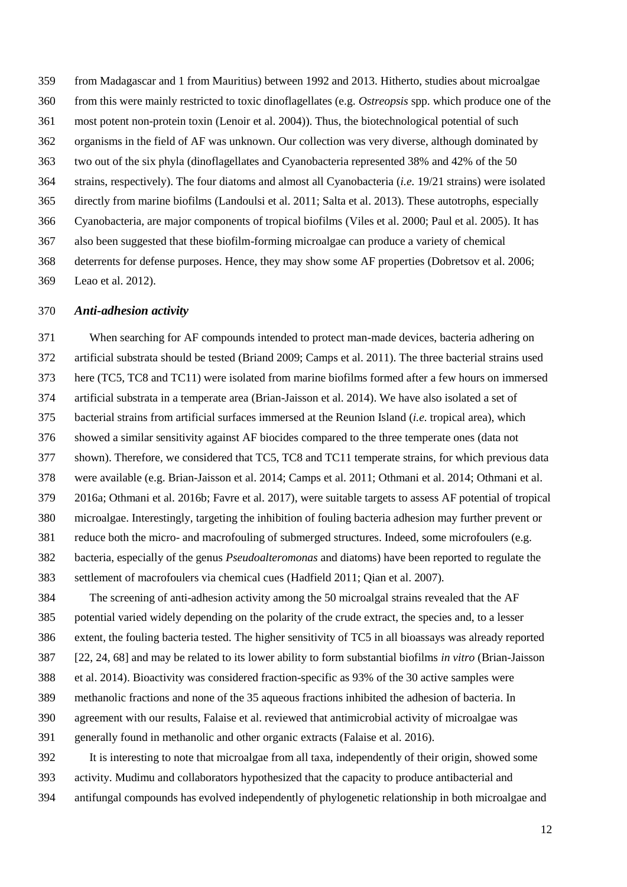from Madagascar and 1 from Mauritius) between 1992 and 2013. Hitherto, studies about microalgae from this were mainly restricted to toxic dinoflagellates (e.g. *Ostreopsis* spp. which produce one of the most potent non-protein toxin [\(Lenoir et al. 2004\)](#page-20-3)). Thus, the biotechnological potential of such organisms in the field of AF was unknown. Our collection was very diverse, although dominated by two out of the six phyla (dinoflagellates and Cyanobacteria represented 38% and 42% of the 50 strains, respectively). The four diatoms and almost all Cyanobacteria (*i.e.* 19/21 strains) were isolated directly from marine biofilms [\(Landoulsi et al. 2011;](#page-19-4) [Salta et al. 2013\)](#page-22-1). These autotrophs, especially Cyanobacteria, are major components of tropical biofilms [\(Viles et al. 2000;](#page-23-1) [Paul et al. 2005\)](#page-21-7). It has also been suggested that these biofilm-forming microalgae can produce a variety of chemical deterrents for defense purposes. Hence, they may show some AF properties [\(Dobretsov et al. 2006;](#page-17-2) [Leao et al. 2012\)](#page-20-4).

#### *Anti-adhesion activity*

 When searching for AF compounds intended to protect man-made devices, bacteria adhering on artificial substrata should be tested [\(Briand 2009;](#page-16-1) [Camps et al. 2011\)](#page-17-3). The three bacterial strains used here (TC5, TC8 and TC11) were isolated from marine biofilms formed after a few hours on immersed artificial substrata in a temperate area [\(Brian-Jaisson et al. 2014\)](#page-16-3). We have also isolated a set of bacterial strains from artificial surfaces immersed at the Reunion Island (*i.e.* tropical area), which showed a similar sensitivity against AF biocides compared to the three temperate ones (data not shown). Therefore, we considered that TC5, TC8 and TC11 temperate strains, for which previous data were available (e.g. [Brian-Jaisson et al. 2014;](#page-16-3) [Camps et al. 2011;](#page-17-3) [Othmani et al. 2014;](#page-21-4) [Othmani](#page-21-8) et al. [2016a;](#page-21-8) [Othmani et al. 2016b;](#page-21-5) [Favre et al. 2017\)](#page-18-5), were suitable targets to assess AF potential of tropical microalgae. Interestingly, targeting the inhibition of fouling bacteria adhesion may further prevent or reduce both the micro- and macrofouling of submerged structures. Indeed, some microfoulers (e.g. bacteria, especially of the genus *Pseudoalteromonas* and diatoms) have been reported to regulate the settlement of macrofoulers via chemical cues [\(Hadfield 2011;](#page-19-5) [Qian et al. 2007\)](#page-21-9).

 The screening of anti-adhesion activity among the 50 microalgal strains revealed that the AF potential varied widely depending on the polarity of the crude extract, the species and, to a lesser extent, the fouling bacteria tested. The higher sensitivity of TC5 in all bioassays was already reported [22, 24, 68] and may be related to its lower ability to form substantial biofilms *in vitro* [\(Brian-Jaisson](#page-16-3)  [et al. 2014\)](#page-16-3). Bioactivity was considered fraction-specific as 93% of the 30 active samples were methanolic fractions and none of the 35 aqueous fractions inhibited the adhesion of bacteria. In agreement with our results, Falaise et al. reviewed that antimicrobial activity of microalgae was generally found in methanolic and other organic extracts [\(Falaise et al. 2016\)](#page-17-1). It is interesting to note that microalgae from all taxa, independently of their origin, showed some

activity. Mudimu and collaborators hypothesized that the capacity to produce antibacterial and

antifungal compounds has evolved independently of phylogenetic relationship in both microalgae and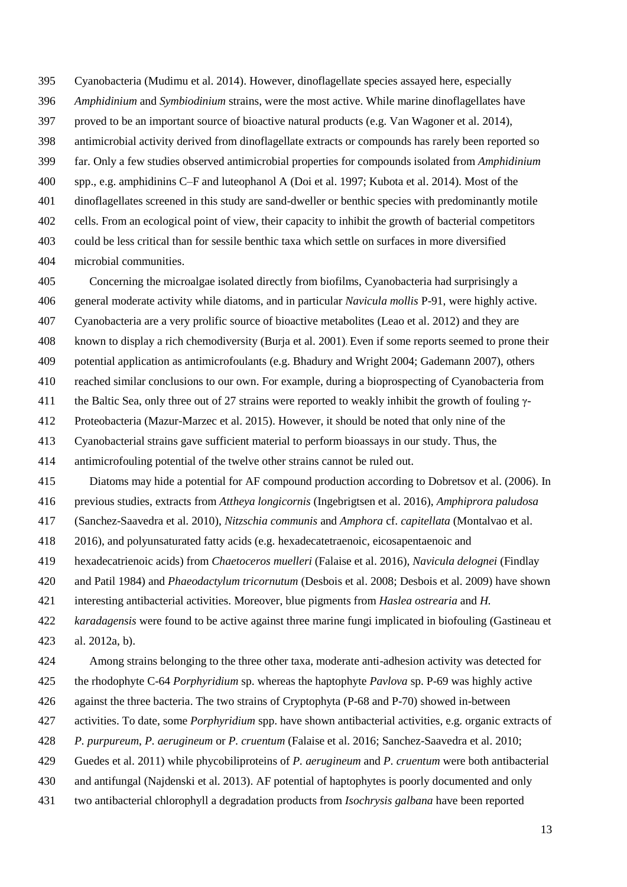Cyanobacteria [\(Mudimu et al. 2014\)](#page-20-5). However, dinoflagellate species assayed here, especially *Amphidinium* and *Symbiodinium* strains, were the most active. While marine dinoflagellates have proved to be an important source of bioactive natural products (e.g. [Van Wagoner et al. 2014\)](#page-23-3), antimicrobial activity derived from dinoflagellate extracts or compounds has rarely been reported so far. Only a few studies observed antimicrobial properties for compounds isolated from *Amphidinium* spp., e.g. amphidinins C–F and luteophanol A [\(Doi et al. 1997;](#page-17-4) [Kubota et al. 2014\)](#page-19-6). Most of the dinoflagellates screened in this study are sand-dweller or benthic species with predominantly motile cells. From an ecological point of view, their capacity to inhibit the growth of bacterial competitors could be less critical than for sessile benthic taxa which settle on surfaces in more diversified microbial communities.

 general moderate activity while diatoms, and in particular *Navicula mollis* P-91, were highly active. Cyanobacteria are a very prolific source of bioactive metabolites [\(Leao et al. 2012\)](#page-20-4) and they are known to display a rich chemodiversity [\(Burja et al. 2001\)](#page-17-5). Even if some reports seemed to prone their potential application as antimicrofoulants (e.g. [Bhadury and Wright 2004;](#page-16-5) [Gademann 2007\)](#page-18-3), others reached similar conclusions to our own. For example, during a bioprospecting of Cyanobacteria from 411 the Baltic Sea, only three out of 27 strains were reported to weakly inhibit the growth of fouling  $\gamma$ -

Concerning the microalgae isolated directly from biofilms, Cyanobacteria had surprisingly a

Proteobacteria [\(Mazur-Marzec et al. 2015\)](#page-20-1). However, it should be noted that only nine of the

Cyanobacterial strains gave sufficient material to perform bioassays in our study. Thus, the

antimicrofouling potential of the twelve other strains cannot be ruled out.

Diatoms may hide a potential for AF compound production according to Dobretsov et al. [\(2006\)](#page-17-2). In

previous studies, extracts from *Attheya longicornis* [\(Ingebrigtsen et al. 2016\)](#page-19-7), *Amphiprora paludosa*

[\(Sanchez-Saavedra et al. 2010\)](#page-22-7), *Nitzschia communis* and *Amphora* cf. *capitellata* [\(Montalvao et al.](#page-20-2) 

[2016\)](#page-20-2), and polyunsaturated fatty acids (e.g. hexadecatetraenoic, eicosapentaenoic and

hexadecatrienoic acids) from *Chaetoceros muelleri* [\(Falaise et al. 2016\)](#page-17-1), *Navicula delognei* [\(Findlay](#page-18-6) 

[and Patil 1984\)](#page-18-6) and *Phaeodactylum tricornutum* [\(Desbois et al. 2008;](#page-17-6) [Desbois et al. 2009\)](#page-17-7) have shown

interesting antibacterial activities. Moreover, blue pigments from *Haslea ostrearia* and *H.* 

*karadagensis* were found to be active against three marine fungi implicated in biofouling [\(Gastineau et](#page-18-7) 

[al. 2012a,](#page-18-7) [b\)](#page-18-8).

Among strains belonging to the three other taxa, moderate anti-adhesion activity was detected for

the rhodophyte C-64 *Porphyridium* sp. whereas the haptophyte *Pavlova* sp. P-69 was highly active

against the three bacteria. The two strains of Cryptophyta (P-68 and P-70) showed in-between

activities. To date, some *Porphyridium* spp. have shown antibacterial activities, e.g. organic extracts of

*P. purpureum*, *P. aerugineum* or *P. cruentum* [\(Falaise et al. 2016;](#page-17-1) [Sanchez-Saavedra et al. 2010;](#page-22-7)

[Guedes et al. 2011\)](#page-18-9) while phycobiliproteins of *P. aerugineum* and *P. cruentum* were both antibacterial

and antifungal [\(Najdenski et al. 2013\)](#page-20-6). AF potential of haptophytes is poorly documented and only

two antibacterial chlorophyll a degradation products from *Isochrysis galbana* have been reported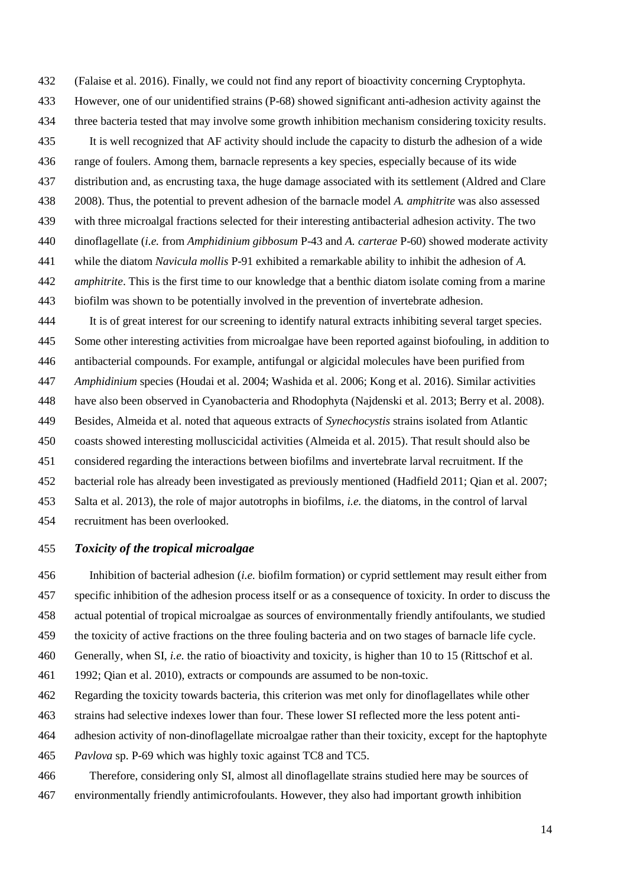[\(Falaise et al. 2016\)](#page-17-1). Finally, we could not find any report of bioactivity concerning Cryptophyta. However, one of our unidentified strains (P-68) showed significant anti-adhesion activity against the three bacteria tested that may involve some growth inhibition mechanism considering toxicity results. It is well recognized that AF activity should include the capacity to disturb the adhesion of a wide range of foulers. Among them, barnacle represents a key species, especially because of its wide distribution and, as encrusting taxa, the huge damage associated with its settlement [\(Aldred and Clare](#page-16-6)  [2008\)](#page-16-6). Thus, the potential to prevent adhesion of the barnacle model *A. amphitrite* was also assessed with three microalgal fractions selected for their interesting antibacterial adhesion activity. The two dinoflagellate (*i.e.* from *Amphidinium gibbosum* P-43 and *A. carterae* P-60) showed moderate activity while the diatom *Navicula mollis* P-91 exhibited a remarkable ability to inhibit the adhesion of *A. amphitrite*. This is the first time to our knowledge that a benthic diatom isolate coming from a marine biofilm was shown to be potentially involved in the prevention of invertebrate adhesion.

 It is of great interest for our screening to identify natural extracts inhibiting several target species. Some other interesting activities from microalgae have been reported against biofouling, in addition to antibacterial compounds. For example, antifungal or algicidal molecules have been purified from *Amphidinium* species [\(Houdai et al. 2004;](#page-19-1) [Washida et al. 2006;](#page-23-4) [Kong et al. 2016\)](#page-19-8). Similar activities have also been observed in Cyanobacteria and Rhodophyta [\(Najdenski et al. 2013;](#page-20-6) [Berry et al. 2008\)](#page-16-7). Besides, Almeida et al. noted that aqueous extracts of *Synechocystis* strains isolated from Atlantic coasts showed interesting molluscicidal activities [\(Almeida et al. 2015\)](#page-16-8). That result should also be considered regarding the interactions between biofilms and invertebrate larval recruitment. If the bacterial role has already been investigated as previously mentioned [\(Hadfield 2011;](#page-19-5) [Qian et al. 2007;](#page-21-9) [Salta et al. 2013\)](#page-22-1), the role of major autotrophs in biofilms, *i.e.* the diatoms, in the control of larval recruitment has been overlooked.

## *Toxicity of the tropical microalgae*

 Inhibition of bacterial adhesion (*i.e.* biofilm formation) or cyprid settlement may result either from specific inhibition of the adhesion process itself or as a consequence of toxicity. In order to discuss the actual potential of tropical microalgae as sources of environmentally friendly antifoulants, we studied the toxicity of active fractions on the three fouling bacteria and on two stages of barnacle life cycle. Generally, when SI, *i.e.* the ratio of bioactivity and toxicity, is higher than 10 to 15 [\(Rittschof et al.](#page-22-3)  [1992;](#page-22-3) [Qian et al. 2010\)](#page-21-0), extracts or compounds are assumed to be non-toxic.

Regarding the toxicity towards bacteria, this criterion was met only for dinoflagellates while other

- strains had selective indexes lower than four. These lower SI reflected more the less potent anti-
- adhesion activity of non-dinoflagellate microalgae rather than their toxicity, except for the haptophyte

*Pavlova* sp. P-69 which was highly toxic against TC8 and TC5.

 Therefore, considering only SI, almost all dinoflagellate strains studied here may be sources of environmentally friendly antimicrofoulants. However, they also had important growth inhibition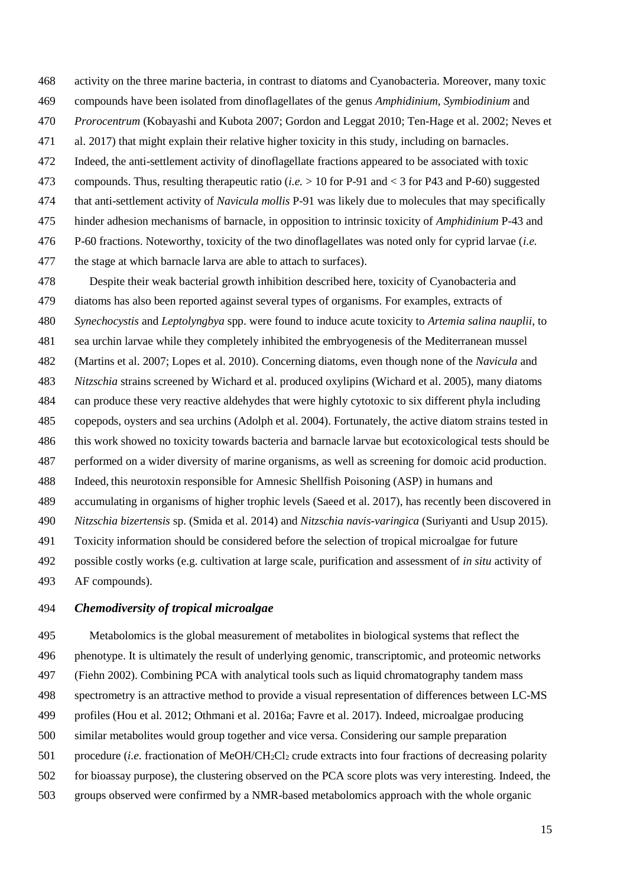- activity on the three marine bacteria, in contrast to diatoms and Cyanobacteria. Moreover, many toxic
- compounds have been isolated from dinoflagellates of the genus *Amphidinium*, *Symbiodinium* and
- *Prorocentrum* [\(Kobayashi and Kubota 2007;](#page-19-9) [Gordon and Leggat 2010;](#page-18-10) Ten-Hage [et al. 2002;](#page-22-8) [Neves et](#page-20-7)
- [al. 2017\)](#page-20-7) that might explain their relative higher toxicity in this study, including on barnacles.
- Indeed, the anti-settlement activity of dinoflagellate fractions appeared to be associated with toxic
- compounds. Thus, resulting therapeutic ratio (*i.e.* > 10 for P-91 and < 3 for P43 and P-60) suggested
- that anti-settlement activity of *Navicula mollis* P-91 was likely due to molecules that may specifically
- hinder adhesion mechanisms of barnacle, in opposition to intrinsic toxicity of *Amphidinium* P-43 and
- P-60 fractions. Noteworthy, toxicity of the two dinoflagellates was noted only for cyprid larvae (*i.e.*
- the stage at which barnacle larva are able to attach to surfaces).

 Despite their weak bacterial growth inhibition described here, toxicity of Cyanobacteria and diatoms has also been reported against several types of organisms. For examples, extracts of *Synechocystis* and *Leptolyngbya* spp. were found to induce acute toxicity to *Artemia salina nauplii*, to sea urchin larvae while they completely inhibited the embryogenesis of the Mediterranean mussel [\(Martins et al. 2007;](#page-20-8) [Lopes et al. 2010\)](#page-20-9). Concerning diatoms, even though none of the *Navicula* and *Nitzschia* strains screened by Wichard et al. produced oxylipins [\(Wichard et al. 2005\)](#page-23-5), many diatoms can produce these very reactive aldehydes that were highly cytotoxic to six different phyla including copepods, oysters and sea urchins [\(Adolph et al. 2004\)](#page-16-9). Fortunately, the active diatom strains tested in this work showed no toxicity towards bacteria and barnacle larvae but ecotoxicological tests should be performed on a wider diversity of marine organisms, as well as screening for domoic acid production. Indeed, this neurotoxin responsible for Amnesic Shellfish Poisoning (ASP) in humans and accumulating in organisms of higher trophic levels [\(Saeed et al. 2017\)](#page-22-9), has recently been discovered in *Nitzschia bizertensis* sp. [\(Smida et al. 2014\)](#page-22-10) and *Nitzschia navis-varingica* [\(Suriyanti and Usup 2015\)](#page-22-11). Toxicity information should be considered before the selection of tropical microalgae for future possible costly works (e.g. cultivation at large scale, purification and assessment of *in situ* activity of AF compounds).

## *Chemodiversity of tropical microalgae*

 Metabolomics is the global measurement of metabolites in biological systems that reflect the phenotype. It is ultimately the result of underlying genomic, transcriptomic, and proteomic networks [\(Fiehn 2002\)](#page-18-11). Combining PCA with analytical tools such as liquid chromatography tandem mass spectrometry is an attractive method to provide a visual representation of differences between LC-MS profiles [\(Hou et al. 2012;](#page-19-10) [Othmani et al. 2016a;](#page-21-8) [Favre et al. 2017\)](#page-18-5). Indeed, microalgae producing similar metabolites would group together and vice versa. Considering our sample preparation procedure (*i.e.* fractionation of MeOH/CH2Cl<sup>2</sup> crude extracts into four fractions of decreasing polarity for bioassay purpose), the clustering observed on the PCA score plots was very interesting. Indeed, the

groups observed were confirmed by a NMR-based metabolomics approach with the whole organic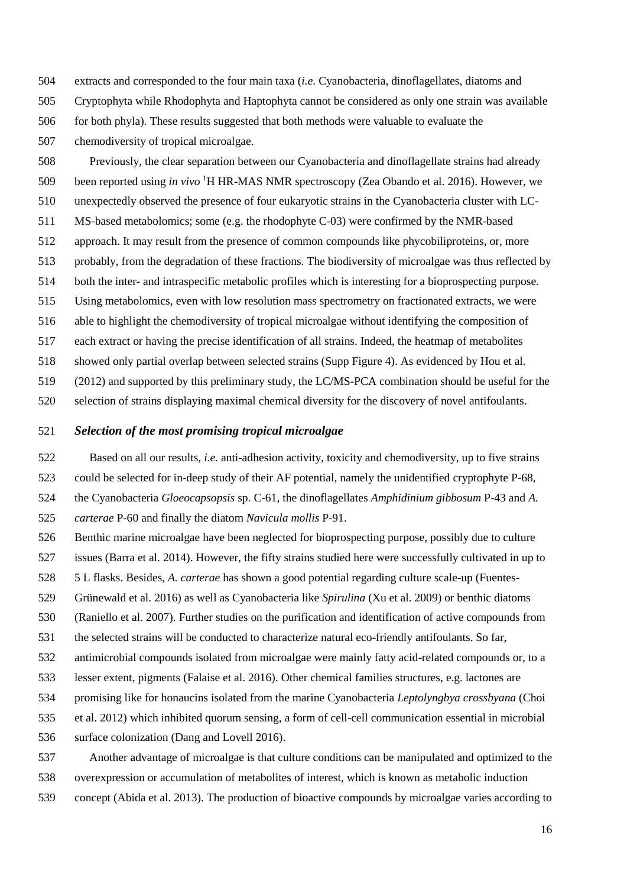extracts and corresponded to the four main taxa (*i.e.* Cyanobacteria, dinoflagellates, diatoms and

- Cryptophyta while Rhodophyta and Haptophyta cannot be considered as only one strain was available
- for both phyla). These results suggested that both methods were valuable to evaluate the
- chemodiversity of tropical microalgae.

 Previously, the clear separation between our Cyanobacteria and dinoflagellate strains had already 509 been reported using *in vivo* <sup>1</sup>H HR-MAS NMR spectroscopy [\(Zea Obando et al. 2016\)](#page-23-2). However, we unexpectedly observed the presence of four eukaryotic strains in the Cyanobacteria cluster with LC- MS-based metabolomics; some (e.g. the rhodophyte C-03) were confirmed by the NMR-based approach. It may result from the presence of common compounds like phycobiliproteins, or, more probably, from the degradation of these fractions. The biodiversity of microalgae was thus reflected by both the inter- and intraspecific metabolic profiles which is interesting for a bioprospecting purpose. Using metabolomics, even with low resolution mass spectrometry on fractionated extracts, we were able to highlight the chemodiversity of tropical microalgae without identifying the composition of each extract or having the precise identification of all strains. Indeed, the heatmap of metabolites showed only partial overlap between selected strains (Supp Figure 4). As evidenced by Hou et al. [\(2012\)](#page-19-10) and supported by this preliminary study, the LC/MS-PCA combination should be useful for the

selection of strains displaying maximal chemical diversity for the discovery of novel antifoulants.

## *Selection of the most promising tropical microalgae*

Based on all our results, *i.e.* anti-adhesion activity, toxicity and chemodiversity, up to five strains

could be selected for in-deep study of their AF potential, namely the unidentified cryptophyte P-68,

the Cyanobacteria *Gloeocapsopsis* sp. C-61, the dinoflagellates *Amphidinium gibbosum* P-43 and *A.* 

*carterae* P-60 and finally the diatom *Navicula mollis* P-91.

- Benthic marine microalgae have been neglected for bioprospecting purpose, possibly due to culture
- issues [\(Barra et al. 2014\)](#page-16-2). However, the fifty strains studied here were successfully cultivated in up to
- 5 L flasks. Besides, *A. carterae* has shown a good potential regarding culture scale-up [\(Fuentes-](#page-18-12)
- [Grünewald](#page-18-12) et al. 2016) as well as Cyanobacteria like *Spirulina* [\(Xu et al. 2009\)](#page-23-6) or benthic diatoms
- [\(Raniello et al. 2007\)](#page-21-10). Further studies on the purification and identification of active compounds from
- the selected strains will be conducted to characterize natural eco-friendly antifoulants. So far,
- antimicrobial compounds isolated from microalgae were mainly fatty acid-related compounds or, to a
- lesser extent, pigments [\(Falaise et al. 2016\)](#page-17-1). Other chemical families structures, e.g. lactones are
- promising like for honaucins isolated from the marine Cyanobacteria *Leptolyngbya crossbyana* [\(Choi](#page-17-8)
- [et al. 2012\)](#page-17-8) which inhibited quorum sensing, a form of cell-cell communication essential in microbial
- surface colonization [\(Dang and Lovell 2016\)](#page-17-9).
- Another advantage of microalgae is that culture conditions can be manipulated and optimized to the
- overexpression or accumulation of metabolites of interest, which is known as metabolic induction
- concept [\(Abida et al. 2013\)](#page-16-10). The production of bioactive compounds by microalgae varies according to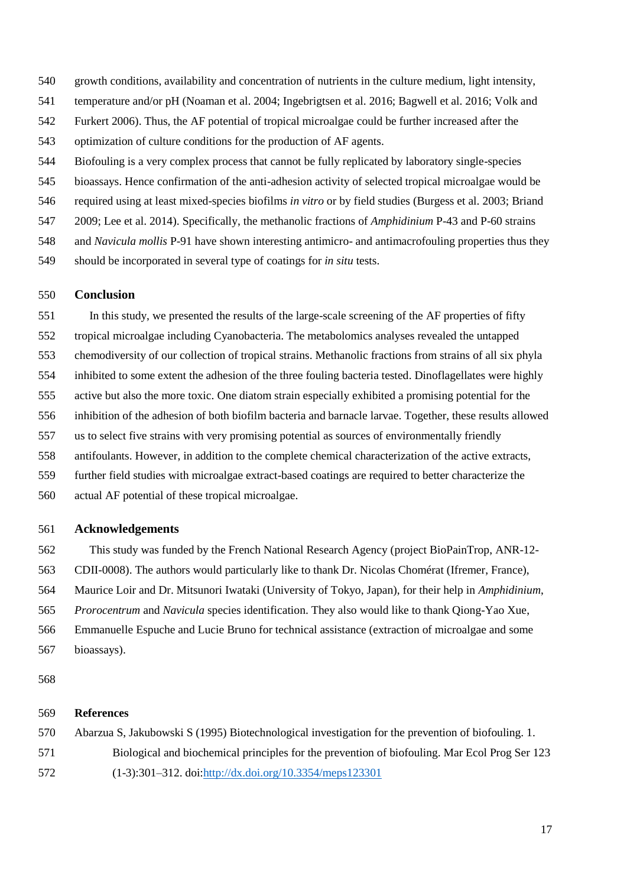- growth conditions, availability and concentration of nutrients in the culture medium, light intensity,
- temperature and/or pH [\(Noaman et al. 2004;](#page-21-11) [Ingebrigtsen et al. 2016;](#page-19-7) [Bagwell et al. 2016;](#page-16-11) [Volk and](#page-23-7)
- [Furkert 2006\)](#page-23-7). Thus, the AF potential of tropical microalgae could be further increased after the

optimization of culture conditions for the production of AF agents.

- Biofouling is a very complex process that cannot be fully replicated by laboratory single-species
- bioassays. Hence confirmation of the anti-adhesion activity of selected tropical microalgae would be
- required using at least mixed-species biofilms *in vitro* or by field studies [\(Burgess et al. 2003;](#page-17-10) [Briand](#page-16-1)
- [2009;](#page-16-1) [Lee et al. 2014\)](#page-20-10). Specifically, the methanolic fractions of *Amphidinium* P-43 and P-60 strains
- and *Navicula mollis* P-91 have shown interesting antimicro- and antimacrofouling properties thus they
- should be incorporated in several type of coatings for *in situ* tests.

# **Conclusion**

 In this study, we presented the results of the large-scale screening of the AF properties of fifty tropical microalgae including Cyanobacteria. The metabolomics analyses revealed the untapped chemodiversity of our collection of tropical strains. Methanolic fractions from strains of all six phyla inhibited to some extent the adhesion of the three fouling bacteria tested. Dinoflagellates were highly active but also the more toxic. One diatom strain especially exhibited a promising potential for the inhibition of the adhesion of both biofilm bacteria and barnacle larvae. Together, these results allowed us to select five strains with very promising potential as sources of environmentally friendly antifoulants. However, in addition to the complete chemical characterization of the active extracts, further field studies with microalgae extract-based coatings are required to better characterize the actual AF potential of these tropical microalgae.

## **Acknowledgements**

- This study was funded by the French National Research Agency (project BioPainTrop, ANR-12-
- CDII-0008). The authors would particularly like to thank Dr. Nicolas Chomérat (Ifremer, France),
- Maurice Loir and Dr. Mitsunori Iwataki (University of Tokyo, Japan), for their help in *Amphidinium*,
- *Prorocentrum* and *Navicula* species identification. They also would like to thank Qiong-Yao Xue,
- Emmanuelle Espuche and Lucie Bruno for technical assistance (extraction of microalgae and some
- bioassays).

## **References**

- <span id="page-15-0"></span>Abarzua S, Jakubowski S (1995) Biotechnological investigation for the prevention of biofouling. 1.
- Biological and biochemical principles for the prevention of biofouling. Mar Ecol Prog Ser 123
- (1-3):301–312. doi[:http://dx.doi.org/10.3354/meps123301](http://dx.doi.org/10.3354/meps123301)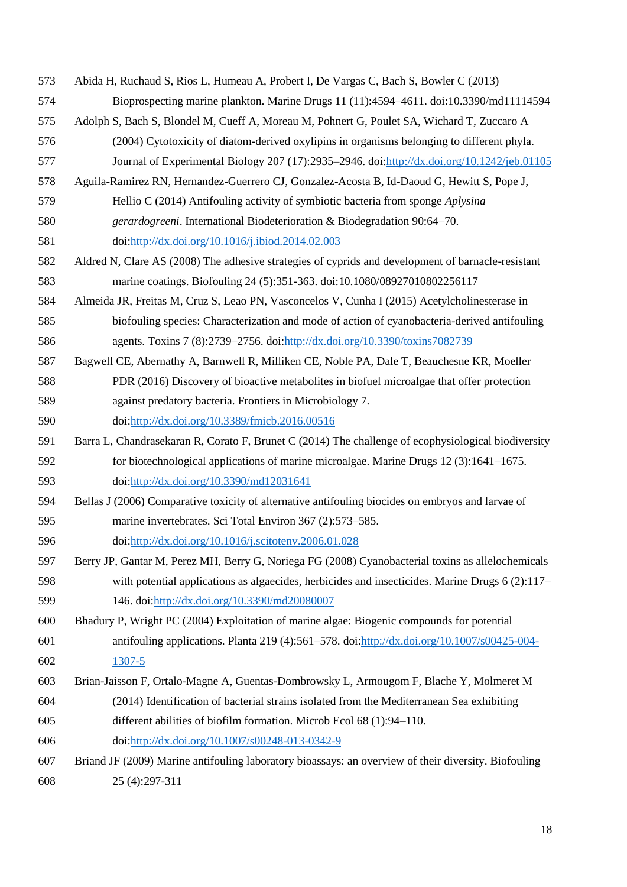<span id="page-16-11"></span><span id="page-16-10"></span><span id="page-16-9"></span><span id="page-16-8"></span><span id="page-16-7"></span><span id="page-16-6"></span><span id="page-16-5"></span><span id="page-16-4"></span><span id="page-16-3"></span><span id="page-16-2"></span><span id="page-16-1"></span><span id="page-16-0"></span>

| Abida H, Ruchaud S, Rios L, Humeau A, Probert I, De Vargas C, Bach S, Bowler C (2013)                |
|------------------------------------------------------------------------------------------------------|
| Bioprospecting marine plankton. Marine Drugs 11 (11):4594-4611. doi:10.3390/md11114594               |
| Adolph S, Bach S, Blondel M, Cueff A, Moreau M, Pohnert G, Poulet SA, Wichard T, Zuccaro A           |
| (2004) Cytotoxicity of diatom-derived oxylipins in organisms belonging to different phyla.           |
| Journal of Experimental Biology 207 (17):2935-2946. doi:http://dx.doi.org/10.1242/jeb.01105          |
| Aguila-Ramirez RN, Hernandez-Guerrero CJ, Gonzalez-Acosta B, Id-Daoud G, Hewitt S, Pope J,           |
| Hellio C (2014) Antifouling activity of symbiotic bacteria from sponge Aplysina                      |
| gerardogreeni. International Biodeterioration & Biodegradation 90:64-70.                             |
| doi:http://dx.doi.org/10.1016/j.ibiod.2014.02.003                                                    |
| Aldred N, Clare AS (2008) The adhesive strategies of cyprids and development of barnacle-resistant   |
| marine coatings. Biofouling 24 (5):351-363. doi:10.1080/08927010802256117                            |
| Almeida JR, Freitas M, Cruz S, Leao PN, Vasconcelos V, Cunha I (2015) Acetylcholinesterase in        |
| biofouling species: Characterization and mode of action of cyanobacteria-derived antifouling         |
| agents. Toxins 7 (8):2739-2756. doi:http://dx.doi.org/10.3390/toxins7082739                          |
| Bagwell CE, Abernathy A, Barnwell R, Milliken CE, Noble PA, Dale T, Beauchesne KR, Moeller           |
| PDR (2016) Discovery of bioactive metabolites in biofuel microalgae that offer protection            |
| against predatory bacteria. Frontiers in Microbiology 7.                                             |
| doi:http://dx.doi.org/10.3389/fmicb.2016.00516                                                       |
| Barra L, Chandrasekaran R, Corato F, Brunet C (2014) The challenge of ecophysiological biodiversity  |
| for biotechnological applications of marine microalgae. Marine Drugs 12 (3):1641-1675.               |
| doi:http://dx.doi.org/10.3390/md12031641                                                             |
| Bellas J (2006) Comparative toxicity of alternative antifouling biocides on embryos and larvae of    |
| marine invertebrates. Sci Total Environ 367 (2):573-585.                                             |
| doi:http://dx.doi.org/10.1016/j.scitotenv.2006.01.028                                                |
| Berry JP, Gantar M, Perez MH, Berry G, Noriega FG (2008) Cyanobacterial toxins as allelochemicals    |
| with potential applications as algaecides, herbicides and insecticides. Marine Drugs $6(2)$ :117–    |
| 146. doi:http://dx.doi.org/10.3390/md20080007                                                        |
| Bhadury P, Wright PC (2004) Exploitation of marine algae: Biogenic compounds for potential           |
| antifouling applications. Planta 219 (4):561-578. doi:http://dx.doi.org/10.1007/s00425-004-          |
| 1307-5                                                                                               |
| Brian-Jaisson F, Ortalo-Magne A, Guentas-Dombrowsky L, Armougom F, Blache Y, Molmeret M              |
| (2014) Identification of bacterial strains isolated from the Mediterranean Sea exhibiting            |
| different abilities of biofilm formation. Microb Ecol 68 (1):94-110.                                 |
| doi:http://dx.doi.org/10.1007/s00248-013-0342-9                                                      |
| Briand JF (2009) Marine antifouling laboratory bioassays: an overview of their diversity. Biofouling |
| 25 (4):297-311                                                                                       |
|                                                                                                      |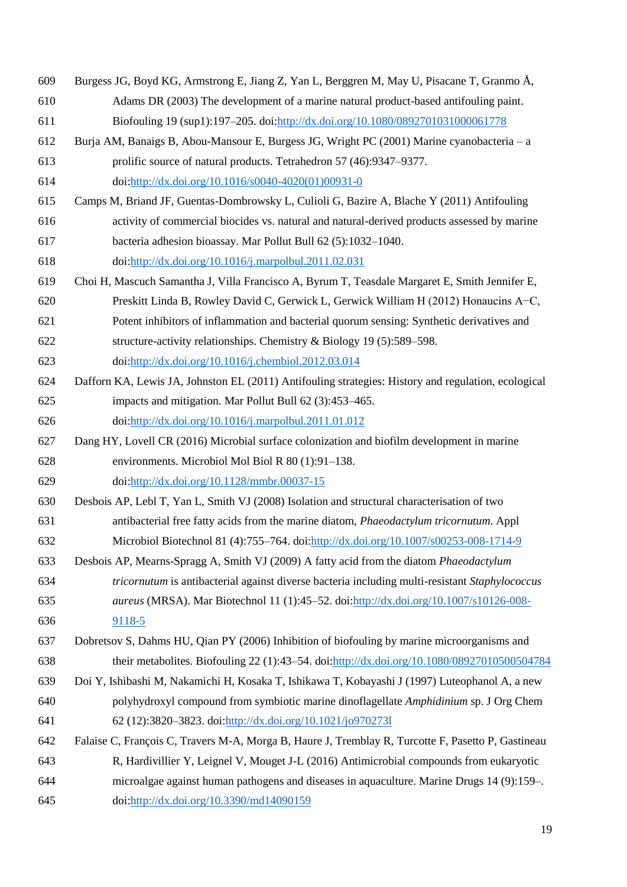<span id="page-17-10"></span><span id="page-17-9"></span><span id="page-17-8"></span><span id="page-17-7"></span><span id="page-17-6"></span><span id="page-17-5"></span><span id="page-17-4"></span><span id="page-17-3"></span><span id="page-17-2"></span><span id="page-17-1"></span><span id="page-17-0"></span>

| 609 | Burgess JG, Boyd KG, Armstrong E, Jiang Z, Yan L, Berggren M, May U, Pisacane T, Granmo Å,          |
|-----|-----------------------------------------------------------------------------------------------------|
| 610 | Adams DR (2003) The development of a marine natural product-based antifouling paint.                |
| 611 | Biofouling 19 (sup1):197-205. doi:http://dx.doi.org/10.1080/0892701031000061778                     |
| 612 | Burja AM, Banaigs B, Abou-Mansour E, Burgess JG, Wright PC (2001) Marine cyanobacteria – a          |
| 613 | prolific source of natural products. Tetrahedron 57 (46):9347–9377.                                 |
| 614 | doi:http://dx.doi.org/10.1016/s0040-4020(01)00931-0                                                 |
| 615 | Camps M, Briand JF, Guentas-Dombrowsky L, Culioli G, Bazire A, Blache Y (2011) Antifouling          |
| 616 | activity of commercial biocides vs. natural and natural-derived products assessed by marine         |
| 617 | bacteria adhesion bioassay. Mar Pollut Bull 62 (5):1032-1040.                                       |
| 618 | doi:http://dx.doi.org/10.1016/j.marpolbul.2011.02.031                                               |
| 619 | Choi H, Mascuch Samantha J, Villa Francisco A, Byrum T, Teasdale Margaret E, Smith Jennifer E,      |
| 620 | Preskitt Linda B, Rowley David C, Gerwick L, Gerwick William H (2012) Honaucins A–C,                |
| 621 | Potent inhibitors of inflammation and bacterial quorum sensing: Synthetic derivatives and           |
| 622 | structure-activity relationships. Chemistry & Biology 19 (5):589–598.                               |
| 623 | doi:http://dx.doi.org/10.1016/j.chembiol.2012.03.014                                                |
| 624 | Dafforn KA, Lewis JA, Johnston EL (2011) Antifouling strategies: History and regulation, ecological |
| 625 | impacts and mitigation. Mar Pollut Bull 62 (3):453-465.                                             |
| 626 | doi:http://dx.doi.org/10.1016/j.marpolbul.2011.01.012                                               |
| 627 | Dang HY, Lovell CR (2016) Microbial surface colonization and biofilm development in marine          |
| 628 | environments. Microbiol Mol Biol R 80 (1):91-138.                                                   |
| 629 | doi:http://dx.doi.org/10.1128/mmbr.00037-15                                                         |
| 630 | Desbois AP, Lebl T, Yan L, Smith VJ (2008) Isolation and structural characterisation of two         |
| 631 | antibacterial free fatty acids from the marine diatom, Phaeodactylum tricornutum. Appl              |
| 632 | Microbiol Biotechnol 81 (4):755-764. doi:http://dx.doi.org/10.1007/s00253-008-1714-9                |
| 633 | Desbois AP, Mearns-Spragg A, Smith VJ (2009) A fatty acid from the diatom <i>Phaeodactylum</i>      |
| 634 | tricornutum is antibacterial against diverse bacteria including multi-resistant Staphylococcus      |
| 635 | <i>aureus</i> (MRSA). Mar Biotechnol 11 (1):45–52. doi:http://dx.doi.org/10.1007/s10126-008-        |
| 636 | 9118-5                                                                                              |
| 637 | Dobretsov S, Dahms HU, Qian PY (2006) Inhibition of biofouling by marine microorganisms and         |
| 638 | their metabolites. Biofouling 22 (1):43–54. doi:http://dx.doi.org/10.1080/08927010500504784         |
| 639 | Doi Y, Ishibashi M, Nakamichi H, Kosaka T, Ishikawa T, Kobayashi J (1997) Luteophanol A, a new      |
| 640 | polyhydroxyl compound from symbiotic marine dinoflagellate Amphidinium sp. J Org Chem               |
| 641 | 62 (12):3820-3823. doi:http://dx.doi.org/10.1021/jo9702731                                          |
| 642 | Falaise C, François C, Travers M-A, Morga B, Haure J, Tremblay R, Turcotte F, Pasetto P, Gastineau  |
| 643 | R, Hardivillier Y, Leignel V, Mouget J-L (2016) Antimicrobial compounds from eukaryotic             |
| 644 | microalgae against human pathogens and diseases in aquaculture. Marine Drugs 14 (9):159-.           |
| 645 | doi:http://dx.doi.org/10.3390/md14090159                                                            |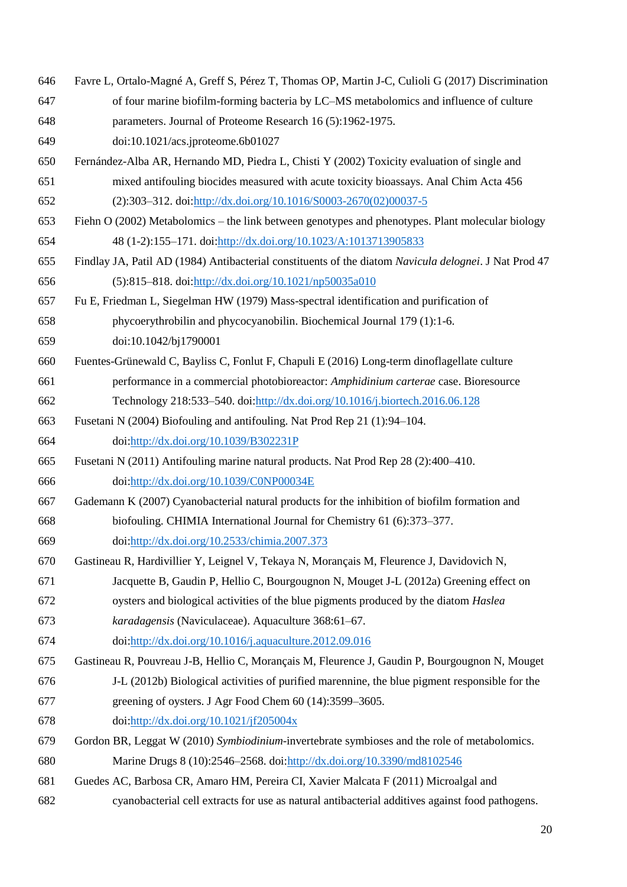- <span id="page-18-5"></span> Favre L, Ortalo-Magné A, Greff S, Pérez T, Thomas OP, Martin J-C, Culioli G (2017) Discrimination of four marine biofilm-forming bacteria by LC–MS metabolomics and influence of culture
- parameters. Journal of Proteome Research 16 (5):1962-1975.
- doi:10.1021/acs.jproteome.6b01027
- <span id="page-18-0"></span> Fernández-Alba AR, Hernando MD, Piedra L, Chisti Y (2002) Toxicity evaluation of single and mixed antifouling biocides measured with acute toxicity bioassays. Anal Chim Acta 456 (2):303–312. doi[:http://dx.doi.org/10.1016/S0003-2670\(02\)00037-5](http://dx.doi.org/10.1016/S0003-2670(02)00037-5)
- <span id="page-18-11"></span>Fiehn O (2002) Metabolomics – the link between genotypes and phenotypes. Plant molecular biology
- 48 (1-2):155–171. doi[:http://dx.doi.org/10.1023/A:1013713905833](http://dx.doi.org/10.1023/A:1013713905833)
- <span id="page-18-6"></span> Findlay JA, Patil AD (1984) Antibacterial constituents of the diatom *Navicula delognei*. J Nat Prod 47 (5):815–818. doi[:http://dx.doi.org/10.1021/np50035a010](http://dx.doi.org/10.1021/np50035a010)
- <span id="page-18-4"></span>Fu E, Friedman L, Siegelman HW (1979) Mass-spectral identification and purification of
- phycoerythrobilin and phycocyanobilin. Biochemical Journal 179 (1):1-6.
- doi:10.1042/bj1790001
- <span id="page-18-12"></span> Fuentes-Grünewald C, Bayliss C, Fonlut F, Chapuli E (2016) Long-term dinoflagellate culture performance in a commercial photobioreactor: *Amphidinium carterae* case. Bioresource Technology 218:533–540. doi[:http://dx.doi.org/10.1016/j.biortech.2016.06.128](http://dx.doi.org/10.1016/j.biortech.2016.06.128)
- <span id="page-18-2"></span>Fusetani N (2004) Biofouling and antifouling. Nat Prod Rep 21 (1):94–104.
- doi[:http://dx.doi.org/10.1039/B302231P](http://dx.doi.org/10.1039/B302231P)
- <span id="page-18-1"></span> Fusetani N (2011) Antifouling marine natural products. Nat Prod Rep 28 (2):400–410. doi[:http://dx.doi.org/10.1039/C0NP00034E](http://dx.doi.org/10.1039/C0NP00034E)
- <span id="page-18-3"></span> Gademann K (2007) Cyanobacterial natural products for the inhibition of biofilm formation and biofouling. CHIMIA International Journal for Chemistry 61 (6):373–377. doi[:http://dx.doi.org/10.2533/chimia.2007.373](http://dx.doi.org/10.2533/chimia.2007.373)
- <span id="page-18-7"></span> Gastineau R, Hardivillier Y, Leignel V, Tekaya N, Morançais M, Fleurence J, Davidovich N, Jacquette B, Gaudin P, Hellio C, Bourgougnon N, Mouget J-L (2012a) Greening effect on
- oysters and biological activities of the blue pigments produced by the diatom *Haslea*
- *karadagensis* (Naviculaceae). Aquaculture 368:61–67.
- doi[:http://dx.doi.org/10.1016/j.aquaculture.2012.09.016](http://dx.doi.org/10.1016/j.aquaculture.2012.09.016)
- <span id="page-18-8"></span>Gastineau R, Pouvreau J-B, Hellio C, Morançais M, Fleurence J, Gaudin P, Bourgougnon N, Mouget
- J-L (2012b) Biological activities of purified marennine, the blue pigment responsible for the greening of oysters. J Agr Food Chem 60 (14):3599–3605.
- doi[:http://dx.doi.org/10.1021/jf205004x](http://dx.doi.org/10.1021/jf205004x)
- <span id="page-18-10"></span> Gordon BR, Leggat W (2010) *Symbiodinium*-invertebrate symbioses and the role of metabolomics. Marine Drugs 8 (10):2546–2568. doi[:http://dx.doi.org/10.3390/md8102546](http://dx.doi.org/10.3390/md8102546)
- <span id="page-18-9"></span> Guedes AC, Barbosa CR, Amaro HM, Pereira CI, Xavier Malcata F (2011) Microalgal and cyanobacterial cell extracts for use as natural antibacterial additives against food pathogens.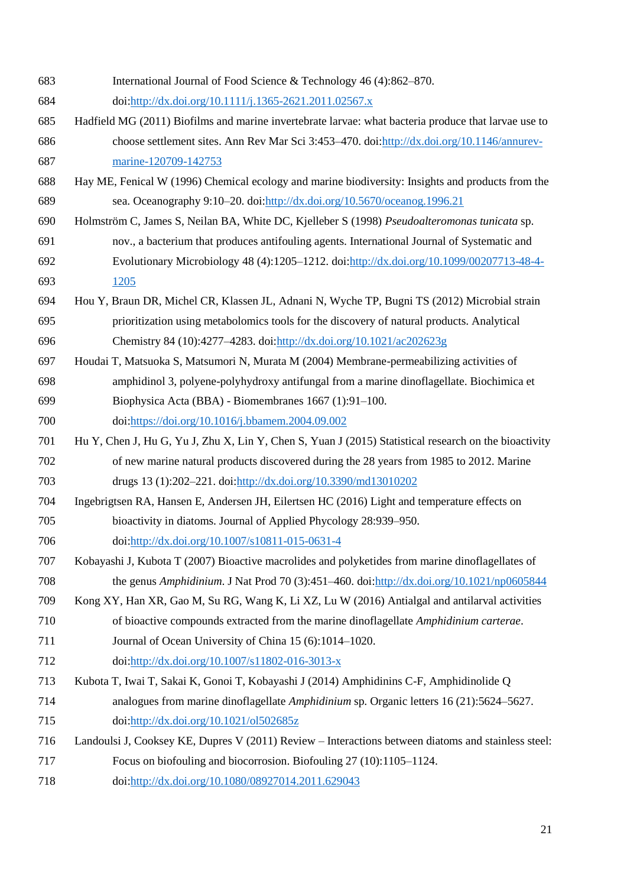<span id="page-19-10"></span><span id="page-19-9"></span><span id="page-19-8"></span><span id="page-19-7"></span><span id="page-19-6"></span><span id="page-19-5"></span><span id="page-19-4"></span><span id="page-19-3"></span><span id="page-19-2"></span><span id="page-19-1"></span><span id="page-19-0"></span> International Journal of Food Science & Technology 46 (4):862–870. doi[:http://dx.doi.org/10.1111/j.1365-2621.2011.02567.x](http://dx.doi.org/10.1111/j.1365-2621.2011.02567.x) Hadfield MG (2011) Biofilms and marine invertebrate larvae: what bacteria produce that larvae use to choose settlement sites. Ann Rev Mar Sci 3:453–470. doi[:http://dx.doi.org/10.1146/annurev-](http://dx.doi.org/10.1146/annurev-marine-120709-142753) [marine-120709-142753](http://dx.doi.org/10.1146/annurev-marine-120709-142753) Hay ME, Fenical W (1996) Chemical ecology and marine biodiversity: Insights and products from the sea. Oceanography 9:10–20. doi[:http://dx.doi.org/10.5670/oceanog.1996.21](http://dx.doi.org/10.5670/oceanog.1996.21) Holmström C, James S, Neilan BA, White DC, Kjelleber S (1998) *Pseudoalteromonas tunicata* sp. nov., a bacterium that produces antifouling agents. International Journal of Systematic and Evolutionary Microbiology 48 (4):1205–1212. doi[:http://dx.doi.org/10.1099/00207713-48-4-](http://dx.doi.org/10.1099/00207713-48-4-1205) [1205](http://dx.doi.org/10.1099/00207713-48-4-1205) Hou Y, Braun DR, Michel CR, Klassen JL, Adnani N, Wyche TP, Bugni TS (2012) Microbial strain prioritization using metabolomics tools for the discovery of natural products. Analytical Chemistry 84 (10):4277–4283. doi[:http://dx.doi.org/10.1021/ac202623g](http://dx.doi.org/10.1021/ac202623g) Houdai T, Matsuoka S, Matsumori N, Murata M (2004) Membrane-permeabilizing activities of amphidinol 3, polyene-polyhydroxy antifungal from a marine dinoflagellate. Biochimica et Biophysica Acta (BBA) - Biomembranes 1667 (1):91–100. doi[:https://doi.org/10.1016/j.bbamem.2004.09.002](https://doi.org/10.1016/j.bbamem.2004.09.002) Hu Y, Chen J, Hu G, Yu J, Zhu X, Lin Y, Chen S, Yuan J (2015) Statistical research on the bioactivity of new marine natural products discovered during the 28 years from 1985 to 2012. Marine drugs 13 (1):202–221. doi[:http://dx.doi.org/10.3390/md13010202](http://dx.doi.org/10.3390/md13010202) Ingebrigtsen RA, Hansen E, Andersen JH, Eilertsen HC (2016) Light and temperature effects on bioactivity in diatoms. Journal of Applied Phycology 28:939–950. doi[:http://dx.doi.org/10.1007/s10811-015-0631-4](http://dx.doi.org/10.1007/s10811-015-0631-4) Kobayashi J, Kubota T (2007) Bioactive macrolides and polyketides from marine dinoflagellates of the genus *Amphidinium*. J Nat Prod 70 (3):451–460. doi[:http://dx.doi.org/10.1021/np0605844](http://dx.doi.org/10.1021/np0605844) Kong XY, Han XR, Gao M, Su RG, Wang K, Li XZ, Lu W (2016) Antialgal and antilarval activities of bioactive compounds extracted from the marine dinoflagellate *Amphidinium carterae*. 711 Journal of Ocean University of China 15 (6):1014–1020. doi[:http://dx.doi.org/10.1007/s11802-016-3013-x](http://dx.doi.org/10.1007/s11802-016-3013-x) Kubota T, Iwai T, Sakai K, Gonoi T, Kobayashi J (2014) Amphidinins C-F, Amphidinolide Q analogues from marine dinoflagellate *Amphidinium* sp. Organic letters 16 (21):5624–5627. doi[:http://dx.doi.org/10.1021/ol502685z](http://dx.doi.org/10.1021/ol502685z) Landoulsi J, Cooksey KE, Dupres V (2011) Review – Interactions between diatoms and stainless steel: Focus on biofouling and biocorrosion. Biofouling 27 (10):1105–1124. doi[:http://dx.doi.org/10.1080/08927014.2011.629043](http://dx.doi.org/10.1080/08927014.2011.629043)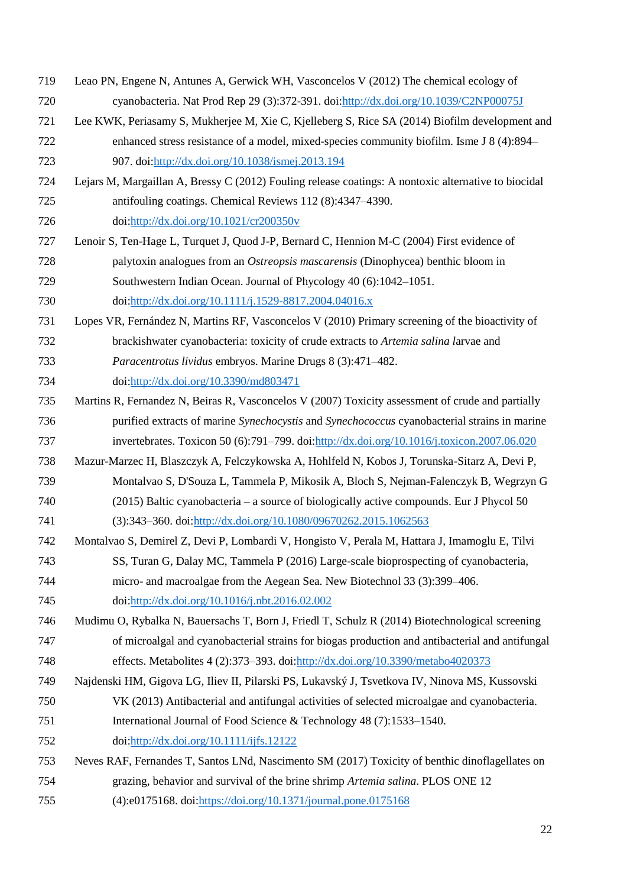- <span id="page-20-4"></span> Leao PN, Engene N, Antunes A, Gerwick WH, Vasconcelos V (2012) The chemical ecology of cyanobacteria. Nat Prod Rep 29 (3):372-391. doi[:http://dx.doi.org/10.1039/C2NP00075J](http://dx.doi.org/10.1039/C2NP00075J)
- <span id="page-20-10"></span> Lee KWK, Periasamy S, Mukherjee M, Xie C, Kjelleberg S, Rice SA (2014) Biofilm development and enhanced stress resistance of a model, mixed-species community biofilm. Isme J 8 (4):894– 907. doi[:http://dx.doi.org/10.1038/ismej.2013.194](http://dx.doi.org/10.1038/ismej.2013.194)
- <span id="page-20-0"></span> Lejars M, Margaillan A, Bressy C (2012) Fouling release coatings: A nontoxic alternative to biocidal antifouling coatings. Chemical Reviews 112 (8):4347–4390.
- doi[:http://dx.doi.org/10.1021/cr200350v](http://dx.doi.org/10.1021/cr200350v)
- <span id="page-20-3"></span> Lenoir S, Ten-Hage L, Turquet J, Quod J-P, Bernard C, Hennion M-C (2004) First evidence of palytoxin analogues from an *Ostreopsis mascarensis* (Dinophycea) benthic bloom in Southwestern Indian Ocean. Journal of Phycology 40 (6):1042–1051. doi[:http://dx.doi.org/10.1111/j.1529-8817.2004.04016.x](http://dx.doi.org/10.1111/j.1529-8817.2004.04016.x)
- <span id="page-20-9"></span> Lopes VR, Fernández N, Martins RF, Vasconcelos V (2010) Primary screening of the bioactivity of brackishwater cyanobacteria: toxicity of crude extracts to *Artemia salina l*arvae and *Paracentrotus lividus* embryos. Marine Drugs 8 (3):471–482. doi[:http://dx.doi.org/10.3390/md803471](http://dx.doi.org/10.3390/md803471)
- <span id="page-20-8"></span> Martins R, Fernandez N, Beiras R, Vasconcelos V (2007) Toxicity assessment of crude and partially purified extracts of marine *Synechocystis* and *Synechococcus* cyanobacterial strains in marine invertebrates. Toxicon 50 (6):791–799. doi[:http://dx.doi.org/10.1016/j.toxicon.2007.06.020](http://dx.doi.org/10.1016/j.toxicon.2007.06.020)
- <span id="page-20-1"></span> Mazur-Marzec H, Blaszczyk A, Felczykowska A, Hohlfeld N, Kobos J, Torunska-Sitarz A, Devi P, Montalvao S, D'Souza L, Tammela P, Mikosik A, Bloch S, Nejman-Falenczyk B, Wegrzyn G (2015) Baltic cyanobacteria – a source of biologically active compounds. Eur J Phycol 50

(3):343–360. doi[:http://dx.doi.org/10.1080/09670262.2015.1062563](http://dx.doi.org/10.1080/09670262.2015.1062563)

- <span id="page-20-2"></span> Montalvao S, Demirel Z, Devi P, Lombardi V, Hongisto V, Perala M, Hattara J, Imamoglu E, Tilvi SS, Turan G, Dalay MC, Tammela P (2016) Large-scale bioprospecting of cyanobacteria, micro- and macroalgae from the Aegean Sea. New Biotechnol 33 (3):399–406. doi[:http://dx.doi.org/10.1016/j.nbt.2016.02.002](http://dx.doi.org/10.1016/j.nbt.2016.02.002)
- <span id="page-20-5"></span> Mudimu O, Rybalka N, Bauersachs T, Born J, Friedl T, Schulz R (2014) Biotechnological screening of microalgal and cyanobacterial strains for biogas production and antibacterial and antifungal effects. Metabolites 4 (2):373–393. doi[:http://dx.doi.org/10.3390/metabo4020373](http://dx.doi.org/10.3390/metabo4020373)
- <span id="page-20-6"></span> Najdenski HM, Gigova LG, Iliev II, Pilarski PS, Lukavský J, Tsvetkova IV, Ninova MS, Kussovski VK (2013) Antibacterial and antifungal activities of selected microalgae and cyanobacteria.
- International Journal of Food Science & Technology 48 (7):1533–1540.
- doi[:http://dx.doi.org/10.1111/ijfs.12122](http://dx.doi.org/10.1111/ijfs.12122)
- <span id="page-20-7"></span> Neves RAF, Fernandes T, Santos LNd, Nascimento SM (2017) Toxicity of benthic dinoflagellates on grazing, behavior and survival of the brine shrimp *Artemia salina*. PLOS ONE 12
- (4):e0175168. doi[:https://doi.org/10.1371/journal.pone.0175168](https://doi.org/10.1371/journal.pone.0175168)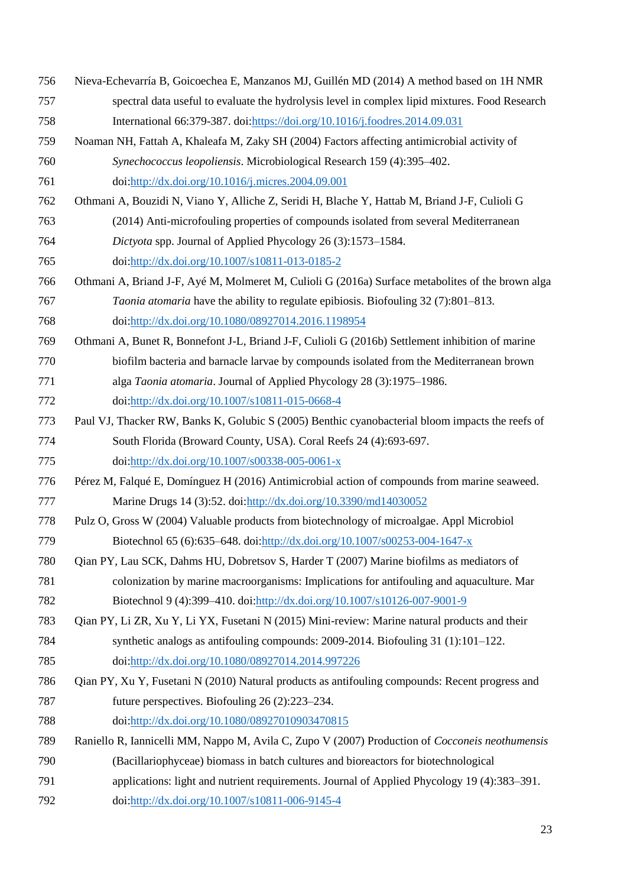- <span id="page-21-6"></span> Nieva-Echevarría B, Goicoechea E, Manzanos MJ, Guillén MD (2014) A method based on 1H NMR spectral data useful to evaluate the hydrolysis level in complex lipid mixtures. Food Research International 66:379-387. doi[:https://doi.org/10.1016/j.foodres.2014.09.031](https://doi.org/10.1016/j.foodres.2014.09.031)
- <span id="page-21-11"></span> Noaman NH, Fattah A, Khaleafa M, Zaky SH (2004) Factors affecting antimicrobial activity of *Synechococcus leopoliensis*. Microbiological Research 159 (4):395–402.

doi[:http://dx.doi.org/10.1016/j.micres.2004.09.001](http://dx.doi.org/10.1016/j.micres.2004.09.001)

- <span id="page-21-4"></span>Othmani A, Bouzidi N, Viano Y, Alliche Z, Seridi H, Blache Y, Hattab M, Briand J-F, Culioli G
- (2014) Anti-microfouling properties of compounds isolated from several Mediterranean
- *Dictyota* spp. Journal of Applied Phycology 26 (3):1573–1584.

doi[:http://dx.doi.org/10.1007/s10811-013-0185-2](http://dx.doi.org/10.1007/s10811-013-0185-2)

- <span id="page-21-8"></span> Othmani A, Briand J-F, Ayé M, Molmeret M, Culioli G (2016a) Surface metabolites of the brown alga *Taonia atomaria* have the ability to regulate epibiosis. Biofouling 32 (7):801–813. doi[:http://dx.doi.org/10.1080/08927014.2016.1198954](http://dx.doi.org/10.1080/08927014.2016.1198954)
- <span id="page-21-5"></span>Othmani A, Bunet R, Bonnefont J-L, Briand J-F, Culioli G (2016b) Settlement inhibition of marine
- biofilm bacteria and barnacle larvae by compounds isolated from the Mediterranean brown alga *Taonia atomaria*. Journal of Applied Phycology 28 (3):1975–1986.
- doi[:http://dx.doi.org/10.1007/s10811-015-0668-4](http://dx.doi.org/10.1007/s10811-015-0668-4)
- <span id="page-21-7"></span> Paul VJ, Thacker RW, Banks K, Golubic S (2005) Benthic cyanobacterial bloom impacts the reefs of South Florida (Broward County, USA). Coral Reefs 24 (4):693-697.
- doi[:http://dx.doi.org/10.1007/s00338-005-0061-x](http://dx.doi.org/10.1007/s00338-005-0061-x)
- <span id="page-21-2"></span> Pérez M, Falqué E, Domínguez H (2016) Antimicrobial action of compounds from marine seaweed. Marine Drugs 14 (3):52. doi[:http://dx.doi.org/10.3390/md14030052](http://dx.doi.org/10.3390/md14030052)
- <span id="page-21-3"></span> Pulz O, Gross W (2004) Valuable products from biotechnology of microalgae. Appl Microbiol Biotechnol 65 (6):635–648. doi[:http://dx.doi.org/10.1007/s00253-004-1647-x](http://dx.doi.org/10.1007/s00253-004-1647-x)
- <span id="page-21-9"></span> Qian PY, Lau SCK, Dahms HU, Dobretsov S, Harder T (2007) Marine biofilms as mediators of colonization by marine macroorganisms: Implications for antifouling and aquaculture. Mar Biotechnol 9 (4):399–410. doi[:http://dx.doi.org/10.1007/s10126-007-9001-9](http://dx.doi.org/10.1007/s10126-007-9001-9)
- <span id="page-21-1"></span> Qian PY, Li ZR, Xu Y, Li YX, Fusetani N (2015) Mini-review: Marine natural products and their synthetic analogs as antifouling compounds: 2009-2014. Biofouling 31 (1):101–122. doi[:http://dx.doi.org/10.1080/08927014.2014.997226](http://dx.doi.org/10.1080/08927014.2014.997226)
- <span id="page-21-0"></span> Qian PY, Xu Y, Fusetani N (2010) Natural products as antifouling compounds: Recent progress and future perspectives. Biofouling 26 (2):223–234.
- doi[:http://dx.doi.org/10.1080/08927010903470815](http://dx.doi.org/10.1080/08927010903470815)
- <span id="page-21-10"></span> Raniello R, Iannicelli MM, Nappo M, Avila C, Zupo V (2007) Production of *Cocconeis neothumensis* (Bacillariophyceae) biomass in batch cultures and bioreactors for biotechnological applications: light and nutrient requirements. Journal of Applied Phycology 19 (4):383–391.
- 
- doi[:http://dx.doi.org/10.1007/s10811-006-9145-4](http://dx.doi.org/10.1007/s10811-006-9145-4)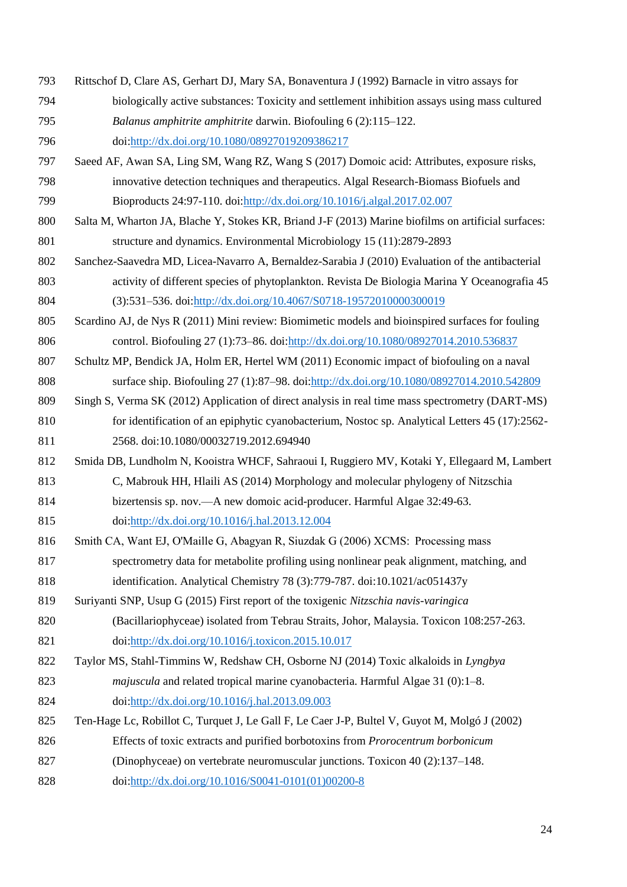- <span id="page-22-3"></span> Rittschof D, Clare AS, Gerhart DJ, Mary SA, Bonaventura J (1992) Barnacle in vitro assays for biologically active substances: Toxicity and settlement inhibition assays using mass cultured *Balanus amphitrite amphitrite* darwin. Biofouling 6 (2):115–122. doi[:http://dx.doi.org/10.1080/08927019209386217](http://dx.doi.org/10.1080/08927019209386217)
- <span id="page-22-9"></span> Saeed AF, Awan SA, Ling SM, Wang RZ, Wang S (2017) Domoic acid: Attributes, exposure risks, innovative detection techniques and therapeutics. Algal Research-Biomass Biofuels and Bioproducts 24:97-110. doi[:http://dx.doi.org/10.1016/j.algal.2017.02.007](http://dx.doi.org/10.1016/j.algal.2017.02.007)
- <span id="page-22-1"></span> Salta M, Wharton JA, Blache Y, Stokes KR, Briand J-F (2013) Marine biofilms on artificial surfaces: structure and dynamics. Environmental Microbiology 15 (11):2879-2893
- <span id="page-22-7"></span> Sanchez-Saavedra MD, Licea-Navarro A, Bernaldez-Sarabia J (2010) Evaluation of the antibacterial activity of different species of phytoplankton. Revista De Biologia Marina Y Oceanografia 45 (3):531–536. doi[:http://dx.doi.org/10.4067/S0718-19572010000300019](http://dx.doi.org/10.4067/S0718-19572010000300019)
- <span id="page-22-6"></span> Scardino AJ, de Nys R (2011) Mini review: Biomimetic models and bioinspired surfaces for fouling control. Biofouling 27 (1):73–86. doi[:http://dx.doi.org/10.1080/08927014.2010.536837](http://dx.doi.org/10.1080/08927014.2010.536837)
- <span id="page-22-0"></span> Schultz MP, Bendick JA, Holm ER, Hertel WM (2011) Economic impact of biofouling on a naval surface ship. Biofouling 27 (1):87–98. doi[:http://dx.doi.org/10.1080/08927014.2010.542809](http://dx.doi.org/10.1080/08927014.2010.542809)
- <span id="page-22-5"></span> Singh S, Verma SK (2012) Application of direct analysis in real time mass spectrometry (DART-MS) 810 for identification of an epiphytic cyanobacterium, Nostoc sp. Analytical Letters 45 (17):2562-2568. doi:10.1080/00032719.2012.694940
- <span id="page-22-10"></span> Smida DB, Lundholm N, Kooistra WHCF, Sahraoui I, Ruggiero MV, Kotaki Y, Ellegaard M, Lambert C, Mabrouk HH, Hlaili AS (2014) Morphology and molecular phylogeny of Nitzschia
- bizertensis sp. nov.—A new domoic acid-producer. Harmful Algae 32:49-63.
- doi[:http://dx.doi.org/10.1016/j.hal.2013.12.004](http://dx.doi.org/10.1016/j.hal.2013.12.004)
- <span id="page-22-4"></span> Smith CA, Want EJ, O'Maille G, Abagyan R, Siuzdak G (2006) XCMS:  Processing mass spectrometry data for metabolite profiling using nonlinear peak alignment, matching, and identification. Analytical Chemistry 78 (3):779-787. doi:10.1021/ac051437y
- <span id="page-22-11"></span>Suriyanti SNP, Usup G (2015) First report of the toxigenic *Nitzschia navis-varingica*
- (Bacillariophyceae) isolated from Tebrau Straits, Johor, Malaysia. Toxicon 108:257-263. doi[:http://dx.doi.org/10.1016/j.toxicon.2015.10.017](http://dx.doi.org/10.1016/j.toxicon.2015.10.017)
- <span id="page-22-2"></span> Taylor MS, Stahl-Timmins W, Redshaw CH, Osborne NJ (2014) Toxic alkaloids in *Lyngbya majuscula* and related tropical marine cyanobacteria. Harmful Algae 31 (0):1–8. doi[:http://dx.doi.org/10.1016/j.hal.2013.09.003](http://dx.doi.org/10.1016/j.hal.2013.09.003)
- <span id="page-22-8"></span>Ten-Hage Lc, Robillot C, Turquet J, Le Gall F, Le Caer J-P, Bultel V, Guyot M, Molgó J (2002)
- Effects of toxic extracts and purified borbotoxins from *Prorocentrum borbonicum*
- (Dinophyceae) on vertebrate neuromuscular junctions. Toxicon 40 (2):137–148.
- doi[:http://dx.doi.org/10.1016/S0041-0101\(01\)00200-8](http://dx.doi.org/10.1016/S0041-0101(01)00200-8)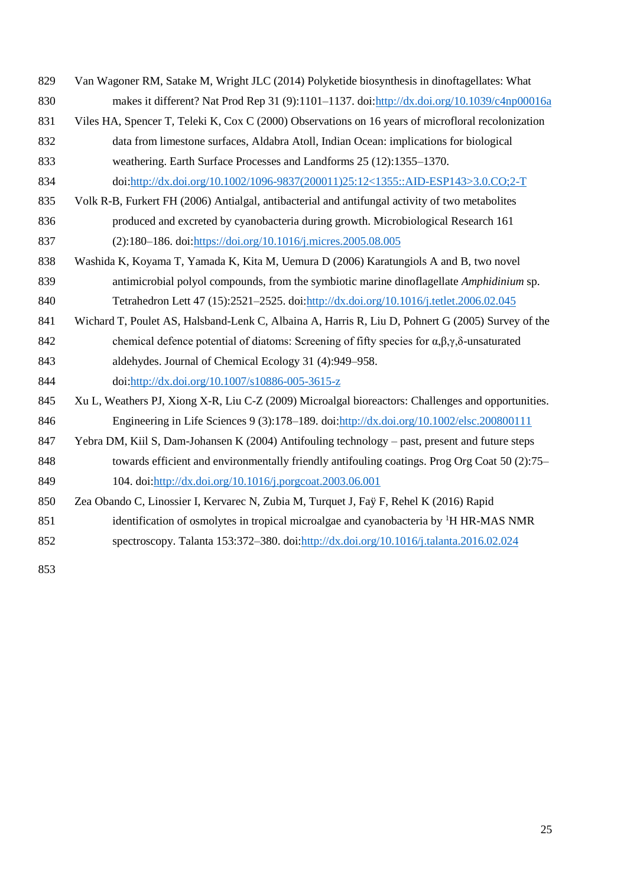- <span id="page-23-3"></span><span id="page-23-1"></span> Van Wagoner RM, Satake M, Wright JLC (2014) Polyketide biosynthesis in dinoftagellates: What makes it different? Nat Prod Rep 31 (9):1101–1137. doi[:http://dx.doi.org/10.1039/c4np00016a](http://dx.doi.org/10.1039/c4np00016a) Viles HA, Spencer T, Teleki K, Cox C (2000) Observations on 16 years of microfloral recolonization data from limestone surfaces, Aldabra Atoll, Indian Ocean: implications for biological weathering. Earth Surface Processes and Landforms 25 (12):1355–1370. doi[:http://dx.doi.org/10.1002/1096-9837\(200011\)25:12<1355::AID-ESP143>3.0.CO;2-T](http://dx.doi.org/10.1002/1096-9837(200011)25:12%3c1355::AID-ESP143%3e3.0.CO;2-T)
- <span id="page-23-7"></span> Volk R-B, Furkert FH (2006) Antialgal, antibacterial and antifungal activity of two metabolites produced and excreted by cyanobacteria during growth. Microbiological Research 161 (2):180–186. doi[:https://doi.org/10.1016/j.micres.2005.08.005](https://doi.org/10.1016/j.micres.2005.08.005)
- <span id="page-23-4"></span> Washida K, Koyama T, Yamada K, Kita M, Uemura D (2006) Karatungiols A and B, two novel antimicrobial polyol compounds, from the symbiotic marine dinoflagellate *Amphidinium* sp. Tetrahedron Lett 47 (15):2521–2525. doi[:http://dx.doi.org/10.1016/j.tetlet.2006.02.045](http://dx.doi.org/10.1016/j.tetlet.2006.02.045)
- <span id="page-23-5"></span> Wichard T, Poulet AS, Halsband-Lenk C, Albaina A, Harris R, Liu D, Pohnert G (2005) Survey of the chemical defence potential of diatoms: Screening of fifty species for α,β,γ,δ-unsaturated aldehydes. Journal of Chemical Ecology 31 (4):949–958. doi[:http://dx.doi.org/10.1007/s10886-005-3615-z](http://dx.doi.org/10.1007/s10886-005-3615-z)
- <span id="page-23-6"></span> Xu L, Weathers PJ, Xiong X-R, Liu C-Z (2009) Microalgal bioreactors: Challenges and opportunities. Engineering in Life Sciences 9 (3):178–189. doi[:http://dx.doi.org/10.1002/elsc.200800111](http://dx.doi.org/10.1002/elsc.200800111)
- <span id="page-23-0"></span> Yebra DM, Kiil S, Dam-Johansen K (2004) Antifouling technology – past, present and future steps 848 towards efficient and environmentally friendly antifouling coatings. Prog Org Coat 50 (2):75–
- 104. doi[:http://dx.doi.org/10.1016/j.porgcoat.2003.06.001](http://dx.doi.org/10.1016/j.porgcoat.2003.06.001)
- <span id="page-23-2"></span> Zea Obando C, Linossier I, Kervarec N, Zubia M, Turquet J, Faÿ F, Rehel K (2016) Rapid 851 identification of osmolytes in tropical microalgae and cyanobacteria by <sup>1</sup>H HR-MAS NMR spectroscopy. Talanta 153:372–380. doi[:http://dx.doi.org/10.1016/j.talanta.2016.02.024](http://dx.doi.org/10.1016/j.talanta.2016.02.024)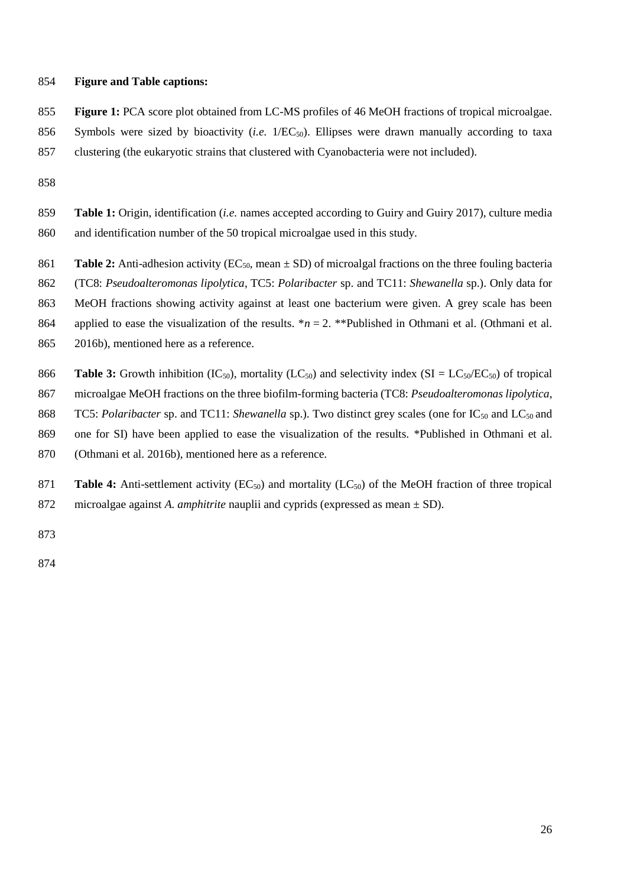# **Figure and Table captions:**

 **Figure 1:** PCA score plot obtained from LC-MS profiles of 46 MeOH fractions of tropical microalgae. 856 Symbols were sized by bioactivity (*i.e.* 1/EC<sub>50</sub>). Ellipses were drawn manually according to taxa

clustering (the eukaryotic strains that clustered with Cyanobacteria were not included).

- **Table 1:** Origin, identification (*i.e.* names accepted according to Guiry and Guiry 2017), culture media and identification number of the 50 tropical microalgae used in this study.
- 861 **Table 2:** Anti-adhesion activity ( $EC_{50}$ , mean  $\pm$  SD) of microalgal fractions on the three fouling bacteria

(TC8: *Pseudoalteromonas lipolytica*, TC5: *Polaribacter* sp. and TC11: *Shewanella* sp.). Only data for

MeOH fractions showing activity against at least one bacterium were given. A grey scale has been

864 applied to ease the visualization of the results.  $*n = 2$ . \*\*Published in Othmani et al. (Othmani et al.

- [2016b\)](#page-21-5), mentioned here as a reference.
- 866 **Table 3:** Growth inhibition (IC<sub>50</sub>), mortality (LC<sub>50</sub>) and selectivity index (SI = LC<sub>50</sub>/EC<sub>50</sub>) of tropical
- microalgae MeOH fractions on the three biofilm-forming bacteria (TC8: *Pseudoalteromonas lipolytica*,
- 868 TC5: *Polaribacter* sp. and TC11: *Shewanella* sp.). Two distinct grey scales (one for IC<sub>50</sub> and LC<sub>50</sub> and
- one for SI) have been applied to ease the visualization of the results. \*Published in Othmani et al.
- [\(Othmani et al. 2016b\)](#page-21-5), mentioned here as a reference.
- 871 **Table 4:** Anti-settlement activity (EC<sub>50</sub>) and mortality (LC<sub>50</sub>) of the MeOH fraction of three tropical microalgae against *A. amphitrite* nauplii and cyprids (expressed as mean ± SD).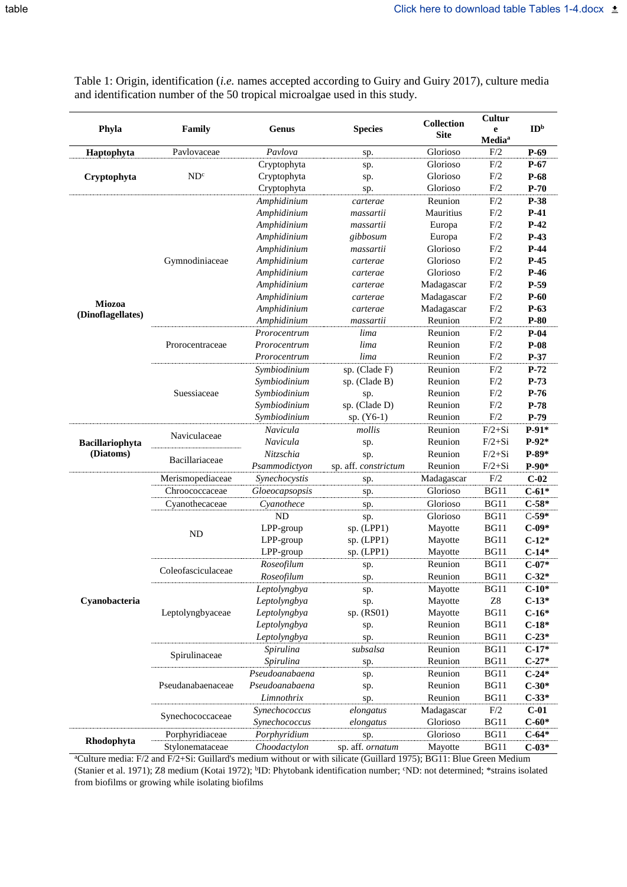Table 1: Origin, identification (*i.e.* names accepted according to Guiry and Guiry 2017), culture media and identification number of the 50 tropical microalgae used in this study.

| Phyla             | Family             | Genus<br><b>Species</b><br>Pavlova<br>sp. |                      | <b>Collection</b><br><b>Site</b> | Cultur<br>e<br>Media <sup>a</sup> | ID <sup>b</sup> |
|-------------------|--------------------|-------------------------------------------|----------------------|----------------------------------|-----------------------------------|-----------------|
| Haptophyta        | Pavlovaceae        |                                           |                      | Glorioso                         | F/2                               | $P-69$          |
|                   |                    | Cryptophyta                               | sp.                  | Glorioso                         | F/2                               | $P-67$          |
| Cryptophyta       | ND <sup>c</sup>    | Cryptophyta                               | sp.                  | Glorioso                         | F/2                               | $P-68$          |
|                   |                    | Cryptophyta                               | sp.                  | Glorioso                         | F/2                               | $P-70$          |
|                   |                    | Amphidinium                               | carterae             | Reunion                          | F/2                               | P-38            |
|                   |                    | Amphidinium                               | massartii            | Mauritius                        | F/2                               | $P-41$          |
|                   |                    | Amphidinium                               | massartii            | Europa                           | F/2                               | $P-42$          |
|                   |                    | Amphidinium                               | gibbosum             | Europa                           | F/2                               | $P-43$          |
|                   |                    | Amphidinium                               | massartii            | Glorioso                         | F/2                               | $P-44$          |
|                   | Gymnodiniaceae     | Amphidinium                               | carterae             | Glorioso                         | F/2                               | $P-45$          |
|                   |                    | Amphidinium                               | carterae             | Glorioso                         | F/2                               | $P-46$          |
|                   |                    | Amphidinium                               | carterae             | Madagascar                       | F/2                               | $P-59$          |
|                   |                    | Amphidinium                               | carterae             | Madagascar                       | F/2                               | $P-60$          |
| Miozoa            |                    | Amphidinium                               | carterae             | Madagascar                       | F/2                               | $P-63$          |
| (Dinoflagellates) |                    | Amphidinium                               | massartii            | Reunion                          | F/2                               | $P-80$          |
|                   |                    | Prorocentrum                              | lima                 | Reunion                          | F/2                               | $P-04$          |
|                   | Prorocentraceae    | Prorocentrum                              | lima                 | Reunion                          | F/2                               | $P-08$          |
|                   |                    | Prorocentrum                              | lima                 | Reunion                          | F/2                               | P-37            |
|                   |                    | Symbiodinium                              | sp. (Clade F)        | Reunion                          | F/2                               | $P-72$          |
|                   |                    | Symbiodinium                              | sp. (Clade B)        | Reunion                          | F/2                               | $P-73$          |
|                   | Suessiaceae        | Symbiodinium                              |                      | Reunion                          | F/2                               | $P-76$          |
|                   |                    | Symbiodinium                              | sp.<br>sp. (Clade D) | Reunion                          | F/2                               | $P-78$          |
|                   |                    |                                           |                      |                                  |                                   |                 |
|                   |                    | Symbiodinium                              | $sp. (Y6-1)$         | Reunion                          | F/2                               | $P-79$          |
|                   | Naviculaceae       | Navicula                                  | mollis               | Reunion                          | $F/2+Si$                          | $P-91*$         |
| Bacillariophyta   |                    | Navicula                                  | sp.                  | Reunion                          | $F/2+Si$                          | $P-92*$         |
| (Diatoms)         | Bacillariaceae     | Nitzschia                                 | sp.                  | Reunion                          | $F/2+Si$                          | $P-89*$         |
|                   |                    | Psammodictyon                             | sp. aff. constrictum | Reunion                          | $F/2+Si$                          | $P-90*$         |
|                   | Merismopediaceae   | Synechocystis                             | sp.                  | Madagascar                       | F/2                               | $C-02$          |
|                   | Chroococcaceae     | Gloeocapsopsis<br>sp.                     |                      | Glorioso                         | <b>BG11</b>                       | $C-61*$         |
|                   | Cyanothecaceae     | Cyanothece                                | sp.                  | Glorioso                         | <b>BG11</b>                       | $C-58*$         |
|                   | <b>ND</b>          | <b>ND</b>                                 | sp.                  | Glorioso                         | <b>BG11</b>                       | $C-59*$         |
|                   |                    | LPP-group                                 | sp. (LPP1)           | Mayotte                          | BG11                              | $C-09*$         |
|                   |                    | LPP-group                                 | sp. (LPP1)           | Mayotte                          | BG11                              | $C-12*$         |
|                   |                    | LPP-group                                 | sp. (LPP1)           | Mayotte                          | BG11                              | $C-14*$         |
|                   | Coleofasciculaceae | Roseofilum                                | sp.                  | Reunion                          | <b>BG11</b>                       | $C-07*$         |
|                   |                    | Roseofilum                                | sp.                  | Reunion                          | BG11                              | $C-32*$         |
|                   |                    | Leptolyngbya                              | sp.                  | Mayotte                          | <b>BG11</b>                       | $C-10*$         |
| Cyanobacteria     |                    | Leptolyngbya                              | sp.                  | Mayotte                          | ${\bf Z}8$                        | $C-13*$         |
|                   | Leptolyngbyaceae   | Leptolyngbya                              | sp. (RS01)           | Mayotte                          | <b>BG11</b>                       | $C-16*$         |
|                   |                    | Leptolyngbya                              | sp.                  | Reunion                          | BG11                              | $C-18*$         |
|                   |                    | Leptolyngbya                              | sp.                  | Reunion                          | BG11                              | $C-23*$         |
|                   | Spirulinaceae      | Spirulina                                 | subsalsa             | Reunion                          | <b>BG11</b>                       | $C-17*$         |
|                   |                    | Spirulina                                 | sp.                  | Reunion                          | <b>BG11</b>                       | $C-27*$         |
|                   |                    | Pseudoanabaena                            | sp.                  | Reunion                          | BG11                              | $C-24*$         |
|                   | Pseudanabaenaceae  | Pseudoanabaena                            | sp.                  | Reunion                          | BG11                              | $C-30*$         |
|                   |                    | Limnothrix                                | sp.                  | Reunion                          | BG11                              | $C-33*$         |
|                   |                    | Synechococcus                             | elongatus            | Madagascar                       | $\rm{F}/2$                        | $C-01$          |
|                   | Synechococcaceae   | Synechococcus                             | elongatus            | Glorioso                         | <b>BG11</b>                       | $C - 60*$       |
|                   | Porphyridiaceae    | Porphyridium                              | sp.                  | Glorioso                         | BG11                              | $C - 64*$       |
| Rhodophyta        | Stylonemataceae    | Choodactylon                              | sp. aff. ornatum     | Mayotte                          | <b>BG11</b>                       | $C-03*$         |

<sup>a</sup>Culture media: F/2 and F/2+Si: Guillard's medium without or with silicate (Guillard 1975); BG11: Blue Green Medium (Stanier et al. 1971); Z8 medium (Kotai 1972); <sup>b</sup>ID: Phytobank identification number; °ND: not determined; \*strains isolated from biofilms or growing while isolating biofilms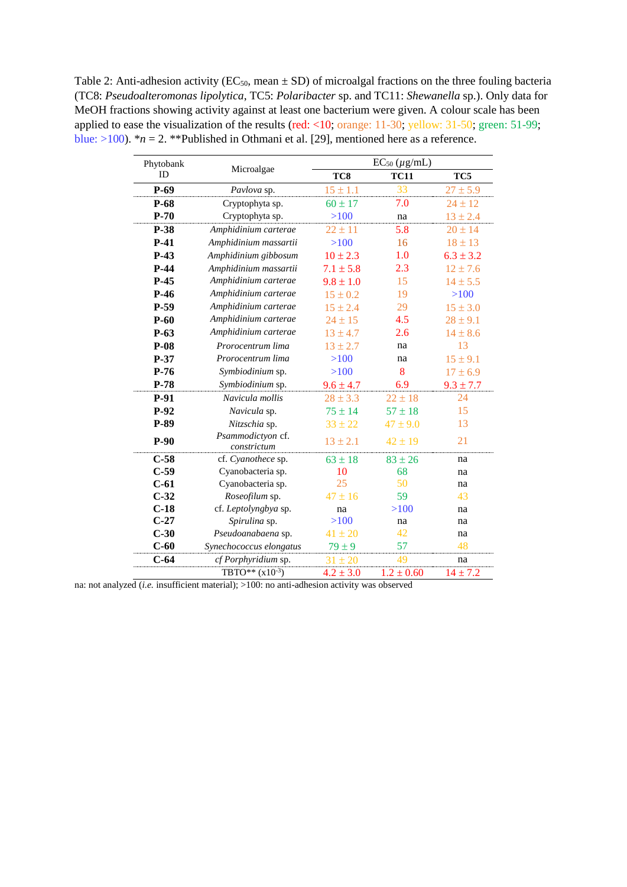Table 2: Anti-adhesion activity ( $EC_{50}$ , mean  $\pm$  SD) of microalgal fractions on the three fouling bacteria (TC8: *Pseudoalteromonas lipolytica*, TC5: *Polaribacter* sp. and TC11: *Shewanella* sp.). Only data for MeOH fractions showing activity against at least one bacterium were given. A colour scale has been applied to ease the visualization of the results (red: <10; orange: 11-30; yellow: 31-50; green: 51-99; blue:  $>100$ ). \* $n = 2$ . \*\*Published in Othmani et al. [29], mentioned here as a reference.

| Phytobank | Microalgae                       | $EC_{50} (\mu g/mL)$ |                |               |  |  |
|-----------|----------------------------------|----------------------|----------------|---------------|--|--|
| ID        |                                  | TC8                  | <b>TC11</b>    | TC5           |  |  |
| $P-69$    | Pavlova sp.                      | $15 \pm 1.1$         | 33             | $27 \pm 5.9$  |  |  |
| $P-68$    | Cryptophyta sp.                  | $60 \pm 17$          | 7.0            | $24 \pm 12$   |  |  |
| $P-70$    | Cryptophyta sp.                  | $>100$               | na             | $13 \pm 2.4$  |  |  |
| P-38      | Amphidinium carterae             | $22 \pm 11$          | 5.8            | $20 \pm 14$   |  |  |
| $P-41$    | Amphidinium massartii            | $>100$               | 16             | $18 \pm 13$   |  |  |
| $P-43$    | Amphidinium gibbosum             | $10 \pm 2.3$         | 1.0            | $6.3 \pm 3.2$ |  |  |
| $P-44$    | Amphidinium massartii            | $7.1 \pm 5.8$        | 2.3            | $12 \pm 7.6$  |  |  |
| $P-45$    | Amphidinium carterae             | $9.8 \pm 1.0$        | 15             | $14 \pm 5.5$  |  |  |
| $P-46$    | Amphidinium carterae             | $15 \pm 0.2$         | 19             | $>100$        |  |  |
| $P-59$    | Amphidinium carterae             | $15 \pm 2.4$         | 29             | $15 \pm 3.0$  |  |  |
| $P-60$    | Amphidinium carterae             | $24 \pm 15$          | 4.5            | $28 \pm 9.1$  |  |  |
| $P-63$    | Amphidinium carterae             | $13 \pm 4.7$         | 2.6            | $14 \pm 8.6$  |  |  |
| $P-08$    | Prorocentrum lima                | $13 \pm 2.7$         | na             | 13            |  |  |
| $P-37$    | Prorocentrum lima                | $>100$               | na             | $15 \pm 9.1$  |  |  |
| $P-76$    | Symbiodinium sp.                 | $>100$               | 8              | $17 \pm 6.9$  |  |  |
| $P-78$    | Symbiodinium sp.                 | $9.6 \pm 4.7$        | 6.9            | $9.3 \pm 7.7$ |  |  |
| P-91      | Navicula mollis                  | $28 \pm 3.3$         | $22 \pm 18$    | 24            |  |  |
| $P-92$    | Navicula sp.                     | $75 \pm 14$          | $57 \pm 18$    | 15            |  |  |
| P-89      | Nitzschia sp.                    | $33 \pm 22$          | $47 \pm 9.0$   | 13            |  |  |
| $P-90$    | Psammodictyon cf.<br>constrictum | $13 \pm 2.1$         | $42 \pm 19$    | 21            |  |  |
| $C-58$    | cf. Cyanothece sp.               | $63 \pm 18$          | $83 \pm 26$    | na            |  |  |
| $C-59$    | Cyanobacteria sp.                | 10                   | 68             | na            |  |  |
| $C-61$    | Cyanobacteria sp.                | 25                   | 50             | na            |  |  |
| $C-32$    | Roseofilum sp.                   | $47 \pm 16$          | 59             | 43            |  |  |
| $C-18$    | cf. Leptolyngbya sp.             | na                   | >100           | na            |  |  |
| $C-27$    | Spirulina sp.                    | $>100$               | na             | na            |  |  |
| $C-30$    | Pseudoanabaena sp.               | $41 \pm 20$          | 42             | na            |  |  |
| $C-60$    | Synechococcus elongatus          | $79 \pm 9$           | 57             | 48            |  |  |
| $C-64$    | cf Porphyridium sp.              | $31 \pm 20$          | 49             | na            |  |  |
|           | TBTO** $(x10^{-3})$              | $4.2 \pm 3.0$        | $1.2 \pm 0.60$ | $14 \pm 7.2$  |  |  |

na: not analyzed *(i.e.* insufficient material); >100: no anti-adhesion activity was observed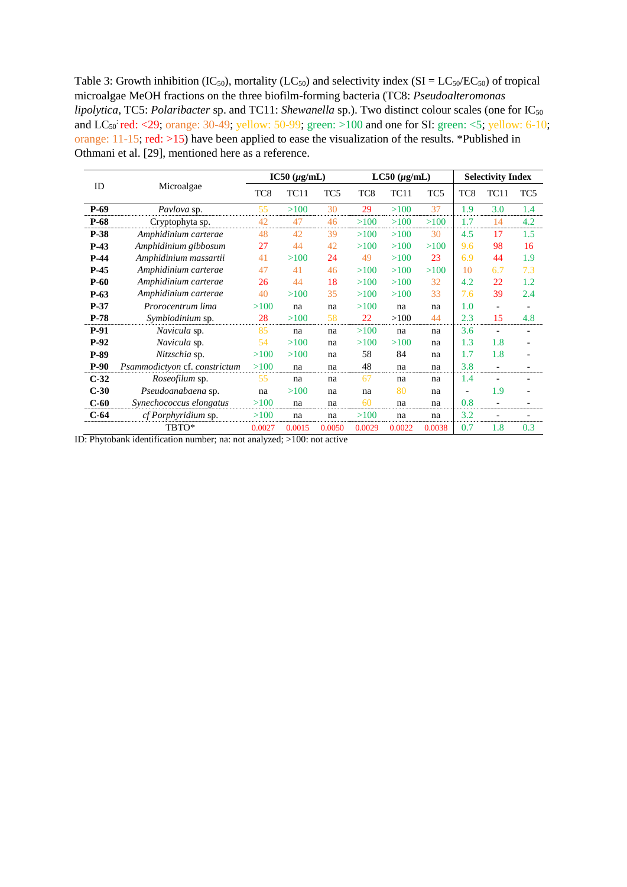Table 3: Growth inhibition (IC<sub>50</sub>), mortality (LC<sub>50</sub>) and selectivity index (SI = LC<sub>50</sub>/EC<sub>50</sub>) of tropical microalgae MeOH fractions on the three biofilm-forming bacteria (TC8: *Pseudoalteromonas lipolytica*, TC5: *Polaribacter* sp. and TC11: *Shewanella* sp.). Two distinct colour scales (one for IC<sub>50</sub>) and  $LC_{50}$  red: <29; orange: 30-49; yellow: 50-99; green: >100 and one for SI: green: <5; yellow: 6-10; orange:  $11-15$ ; red:  $>15$ ) have been applied to ease the visualization of the results. \*Published in Othmani et al. [29], mentioned here as a reference.

|        |                               | $IC50 (\mu g/mL)$ |        | $LC50 (\mu g/mL)$ |        |        | <b>Selectivity Index</b> |                 |                          |                          |
|--------|-------------------------------|-------------------|--------|-------------------|--------|--------|--------------------------|-----------------|--------------------------|--------------------------|
| ID     | Microalgae                    | TC <sub>8</sub>   | TC11   | TC <sub>5</sub>   | TC8    | TC11   | TC5                      | TC <sub>8</sub> | TC11                     | TC5                      |
| $P-69$ | <i>Pavlova</i> sp.            | 55                | >100   | 30                | 29     | >100   | 37                       | 1.9             | 3.0                      | 1.4                      |
| $P-68$ | Cryptophyta sp.               | 42                | 47     | 46                | >100   | >100   | >100                     | 1.7             | 14                       | 4.2                      |
| $P-38$ | Amphidinium carterae          | 48                | 42     | 39                | >100   | >100   | 30                       | 4.5             | 17                       | 1.5                      |
| $P-43$ | Amphidinium gibbosum          | 27                | 44     | 42                | >100   | >100   | >100                     | 9.6             | 98                       | 16                       |
| $P-44$ | Amphidinium massartii         | 41                | >100   | 24                | 49     | >100   | 23                       | 6.9             | 44                       | 1.9                      |
| $P-45$ | Amphidinium carterae          | 47                | 41     | 46                | >100   | >100   | >100                     | 10              | 6.7                      | 7.3                      |
| $P-60$ | Amphidinium carterae          | 26                | 44     | 18                | >100   | >100   | 32                       | 4.2             | 22                       | 1.2                      |
| $P-63$ | Amphidinium carterae          | 40                | >100   | 35                | >100   | >100   | 33                       | 7.6             | 39                       | 2.4                      |
| $P-37$ | Prorocentrum lima             | >100              | na     | na                | >100   | na     | na                       | 1.0             | $\overline{\phantom{a}}$ |                          |
| $P-78$ | Symbiodinium sp.              | 28                | >100   | 58                | 22     | >100   | 44                       | 2.3             | 15                       | 4.8                      |
| $P-91$ | Navicula sp.                  | 85                | na     | na                | >100   | na     | na                       | 3.6             | $\overline{\phantom{a}}$ | $\overline{\phantom{a}}$ |
| $P-92$ | Navicula sp.                  | 54                | >100   | na                | >100   | >100   | na                       | 1.3             | 1.8                      |                          |
| $P-89$ | Nitzschia sp.                 | >100              | >100   | na                | 58     | 84     | na                       | 1.7             | 1.8                      |                          |
| $P-90$ | Psammodictyon cf. constrictum | >100              | na     | na                | 48     | na     | na                       | 3.8             | $\overline{\phantom{a}}$ |                          |
| $C-32$ | <i>Roseofilum</i> sp.         | 55                | na     | na                | 67     | na     | na                       | 1.4             | $\overline{\phantom{a}}$ |                          |
| $C-30$ | Pseudoanabaena sp.            | na                | >100   | na                | na     | 80     | na                       |                 | 1.9                      | $\overline{\phantom{a}}$ |
| $C-60$ | Synechococcus elongatus       | >100              | na     | na                | 60     | na     | na                       | 0.8             | $\overline{\phantom{a}}$ |                          |
| $C-64$ | <i>cf Porphyridium</i> sp.    | >100              | na     | na                | >100   | na     | na                       | 3.2             | $\overline{\phantom{0}}$ |                          |
|        | TBTO*                         | 0.0027            | 0.0015 | 0.0050            | 0.0029 | 0.0022 | 0.0038                   | 0.7             | 1.8                      | 0.3                      |

ID: Phytobank identification number; na: not analyzed; >100: not active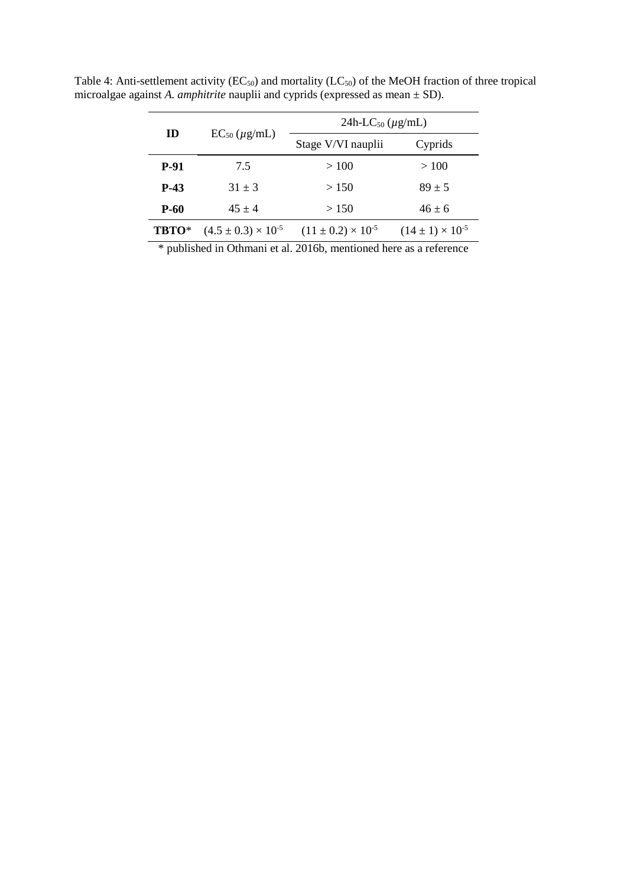|             | $EC_{50}$ ( $\mu$ g/mL)        | 24h-LC <sub>50</sub> ( $\mu$ g/mL) |                             |  |  |  |
|-------------|--------------------------------|------------------------------------|-----------------------------|--|--|--|
| ID          |                                | Stage V/VI nauplii                 | Cyprids                     |  |  |  |
| <b>P-91</b> | 7.5                            | >100                               | >100                        |  |  |  |
| <b>P-43</b> | $31 \pm 3$                     | >150                               | $89 \pm 5$                  |  |  |  |
| P-60        | $45 + 4$                       | > 150                              | $46 \pm 6$                  |  |  |  |
| TBTO*       | $(4.5 \pm 0.3) \times 10^{-5}$ | $(11 \pm 0.2) \times 10^{-5}$      | $(14 \pm 1) \times 10^{-5}$ |  |  |  |

Table 4: Anti-settlement activity ( $EC_{50}$ ) and mortality ( $LC_{50}$ ) of the MeOH fraction of three tropical microalgae against *A. amphitrite* nauplii and cyprids (expressed as mean ± SD).

\* published in Othmani et al. 2016b, mentioned here as a reference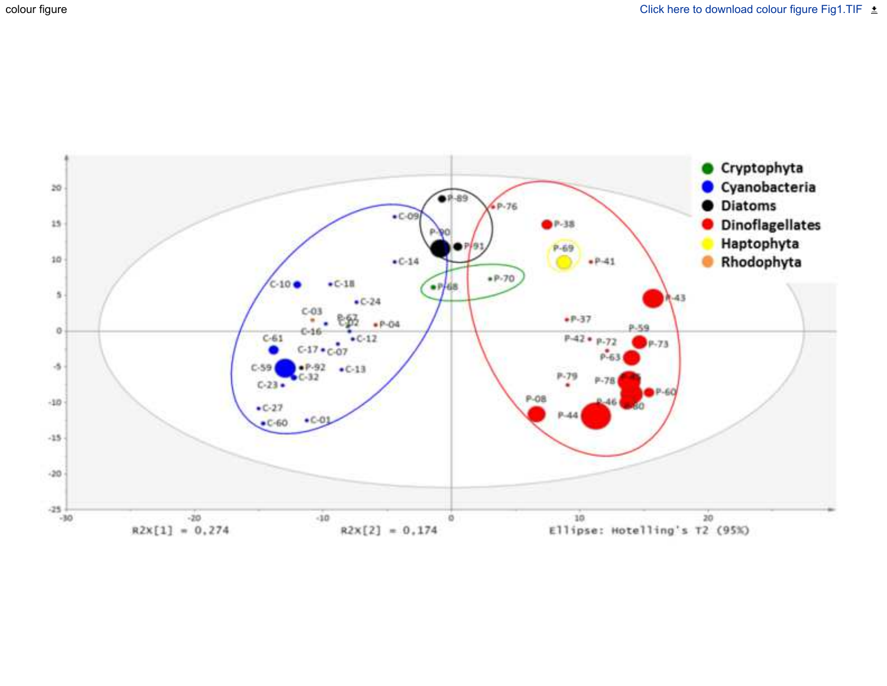